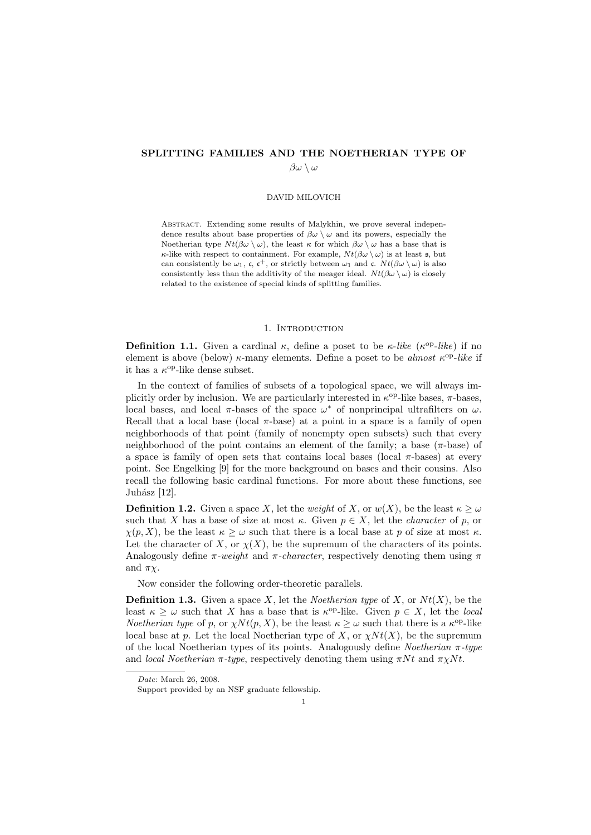## SPLITTING FAMILIES AND THE NOETHERIAN TYPE OF  $\beta\omega \setminus \omega$

#### DAVID MILOVICH

Abstract. Extending some results of Malykhin, we prove several independence results about base properties of  $\beta\omega \setminus \omega$  and its powers, especially the Noetherian type  $Nt(\beta\omega \setminus \omega)$ , the least  $\kappa$  for which  $\beta\omega \setminus \omega$  has a base that is κ-like with respect to containment. For example,  $Nt(\beta\omega\setminus\omega)$  is at least  $\mathfrak{s}$ , but can consistently be  $\omega_1$ , c, c<sup>+</sup>, or strictly between  $\omega_1$  and c.  $Nt(\beta\omega\setminus\omega)$  is also consistently less than the additivity of the meager ideal.  $N t(\beta \omega \setminus \omega)$  is closely related to the existence of special kinds of splitting families.

#### 1. INTRODUCTION

**Definition 1.1.** Given a cardinal  $\kappa$ , define a poset to be  $\kappa$ -like ( $\kappa^{op}$ -like) if no element is above (below)  $\kappa$ -many elements. Define a poset to be *almost*  $\kappa^{\rm op}\text{-}like$  if it has a  $\kappa^{\rm op}\text{-like}$  dense subset.

In the context of families of subsets of a topological space, we will always implicitly order by inclusion. We are particularly interested in  $\kappa^{\rm op}\text{-like bases}$ ,  $\pi\text{-bases}$ , local bases, and local  $\pi$ -bases of the space  $\omega^*$  of nonprincipal ultrafilters on  $\omega$ . Recall that a local base (local  $\pi$ -base) at a point in a space is a family of open neighborhoods of that point (family of nonempty open subsets) such that every neighborhood of the point contains an element of the family; a base  $(\pi$ -base) of a space is family of open sets that contains local bases (local  $\pi$ -bases) at every point. See Engelking [9] for the more background on bases and their cousins. Also recall the following basic cardinal functions. For more about these functions, see Juhász [12].

**Definition 1.2.** Given a space X, let the weight of X, or  $w(X)$ , be the least  $\kappa \geq \omega$ such that X has a base of size at most  $\kappa$ . Given  $p \in X$ , let the *character* of p, or  $\chi(p, X)$ , be the least  $\kappa \geq \omega$  such that there is a local base at p of size at most  $\kappa$ . Let the character of X, or  $\chi(X)$ , be the supremum of the characters of its points. Analogously define  $\pi$ -weight and  $\pi$ -character, respectively denoting them using  $\pi$ and  $\pi \chi$ .

Now consider the following order-theoretic parallels.

**Definition 1.3.** Given a space X, let the *Noetherian type* of X, or  $N_t(X)$ , be the least  $\kappa \geq \omega$  such that X has a base that is  $\kappa^{\text{op}}$ -like. Given  $p \in X$ , let the local *Noetherian type* of p, or  $\chi N t(p, X)$ , be the least  $\kappa \geq \omega$  such that there is a  $\kappa^{\rm op}$ -like local base at p. Let the local Noetherian type of X, or  $\chi N t(X)$ , be the supremum of the local Noetherian types of its points. Analogously define *Noetherian*  $\pi$ -type and local Noetherian  $\pi$ -type, respectively denoting them using  $\pi N t$  and  $\pi \chi N t$ .

Date: March 26, 2008.

Support provided by an NSF graduate fellowship.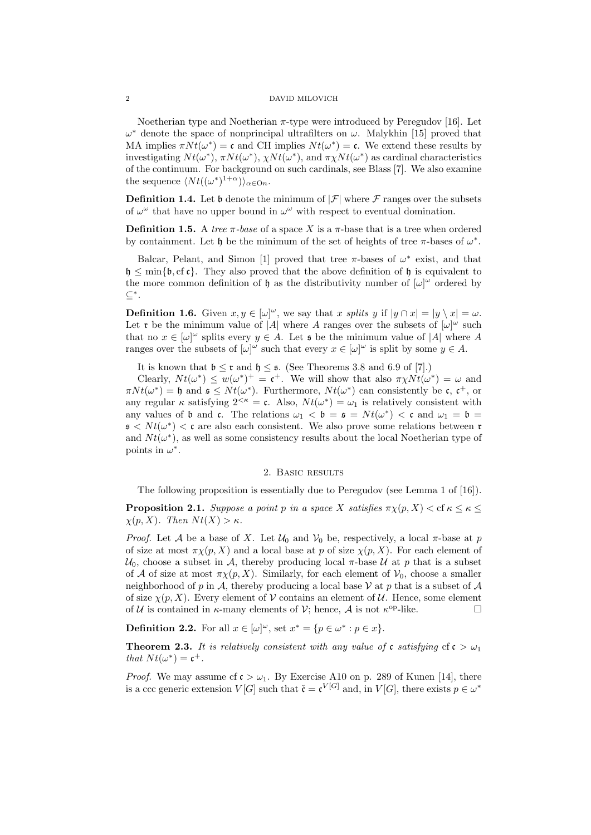Noetherian type and Noetherian  $\pi$ -type were introduced by Peregudov [16]. Let  $\omega^*$  denote the space of nonprincipal ultrafilters on  $\omega$ . Malykhin [15] proved that MA implies  $\pi N t(\omega^*) = \mathfrak{c}$  and CH implies  $N t(\omega^*) = \mathfrak{c}$ . We extend these results by investigating  $Nt(\omega^*), \pi Nt(\omega^*), \chi Nt(\omega^*),$  and  $\pi \chi Nt(\omega^*)$  as cardinal characteristics of the continuum. For background on such cardinals, see Blass [7]. We also examine the sequence  $\langle Nt((\omega^*)^{1+\alpha})\rangle_{\alpha\in\mathcal{O}_n}$ .

**Definition 1.4.** Let b denote the minimum of  $|\mathcal{F}|$  where F ranges over the subsets of  $\omega^{\omega}$  that have no upper bound in  $\omega^{\omega}$  with respect to eventual domination.

**Definition 1.5.** A tree  $\pi$ -base of a space X is a  $\pi$ -base that is a tree when ordered by containment. Let  $\mathfrak h$  be the minimum of the set of heights of tree  $\pi$ -bases of  $\omega^*$ .

Balcar, Pelant, and Simon [1] proved that tree  $\pi$ -bases of  $\omega^*$  exist, and that  $\mathfrak{h} \leq \min{\{\mathfrak{b},\text{cf}\,\mathfrak{c}\}}$ . They also proved that the above definition of  $\mathfrak{h}$  is equivalent to the more common definition of  $\mathfrak h$  as the distributivity number of  $[\omega]^\omega$  ordered by ⊆<sup>∗</sup> .

**Definition 1.6.** Given  $x, y \in [\omega]^\omega$ , we say that x splits y if  $|y \cap x| = |y \setminus x| = \omega$ . Let **r** be the minimum value of |A| where A ranges over the subsets of  $[\omega]^\omega$  such that no  $x \in [\omega]^\omega$  splits every  $y \in A$ . Let s be the minimum value of |A| where A ranges over the subsets of  $[\omega]^\omega$  such that every  $x \in [\omega]^\omega$  is split by some  $y \in A$ .

It is known that  $\mathfrak{b} \leq \mathfrak{r}$  and  $\mathfrak{h} \leq \mathfrak{s}$ . (See Theorems 3.8 and 6.9 of [7].)

Clearly,  $Nt(\omega^*) \leq w(\omega^*)^+ = \mathfrak{c}^+$ . We will show that also  $\pi \chi N t(\omega^*) = \omega$  and  $\pi N t(\omega^*) = \mathfrak{h}$  and  $\mathfrak{s} \leq N t(\omega^*)$ . Furthermore,  $N t(\omega^*)$  can consistently be c, c<sup>+</sup>, or any regular  $\kappa$  satisfying  $2^{<\kappa} = \mathfrak{c}$ . Also,  $Nt(\omega^*) = \omega_1$  is relatively consistent with any values of  $\mathfrak b$  and  $\mathfrak c$ . The relations  $\omega_1 < \mathfrak b = \mathfrak s = Nt(\omega^*) < \mathfrak c$  and  $\omega_1 = \mathfrak b =$  $\mathfrak{s} < N t(\omega^*) < \mathfrak{c}$  are also each consistent. We also prove some relations between  $\mathfrak{r}$ and  $Nt(\omega^*)$ , as well as some consistency results about the local Noetherian type of points in  $\omega^*$ .

## 2. Basic results

The following proposition is essentially due to Peregudov (see Lemma 1 of [16]).

**Proposition 2.1.** Suppose a point p in a space X satisfies  $\pi_X(p, X) <$  cf  $\kappa \leq \kappa \leq$  $\chi(p, X)$ . Then  $N t(X) > \kappa$ .

*Proof.* Let A be a base of X. Let  $\mathcal{U}_0$  and  $\mathcal{V}_0$  be, respectively, a local  $\pi$ -base at p of size at most  $\pi \chi(p, X)$  and a local base at p of size  $\chi(p, X)$ . For each element of  $U_0$ , choose a subset in A, thereby producing local  $\pi$ -base U at p that is a subset of A of size at most  $\pi \chi(p, X)$ . Similarly, for each element of  $\mathcal{V}_0$ , choose a smaller neighborhood of p in A, thereby producing a local base V at p that is a subset of A of size  $\chi(p, X)$ . Every element of V contains an element of U. Hence, some element of U is contained in  $\kappa$ -many elements of V; hence, A is not  $\kappa^{\rm op}\text{-like}$ .

**Definition 2.2.** For all  $x \in [\omega]^\omega$ , set  $x^* = \{p \in \omega^* : p \in x\}.$ 

**Theorem 2.3.** It is relatively consistent with any value of c satisfying  $cf c > \omega_1$ that  $Nt(\omega^*) = \mathfrak{c}^+$ .

*Proof.* We may assume cf  $c > \omega_1$ . By Exercise A10 on p. 289 of Kunen [14], there is a ccc generic extension  $V[G]$  such that  $\check{\mathfrak{c}} = {\mathfrak{c}}^{V[G]}$  and, in  $V[G]$ , there exists  $p \in \omega^*$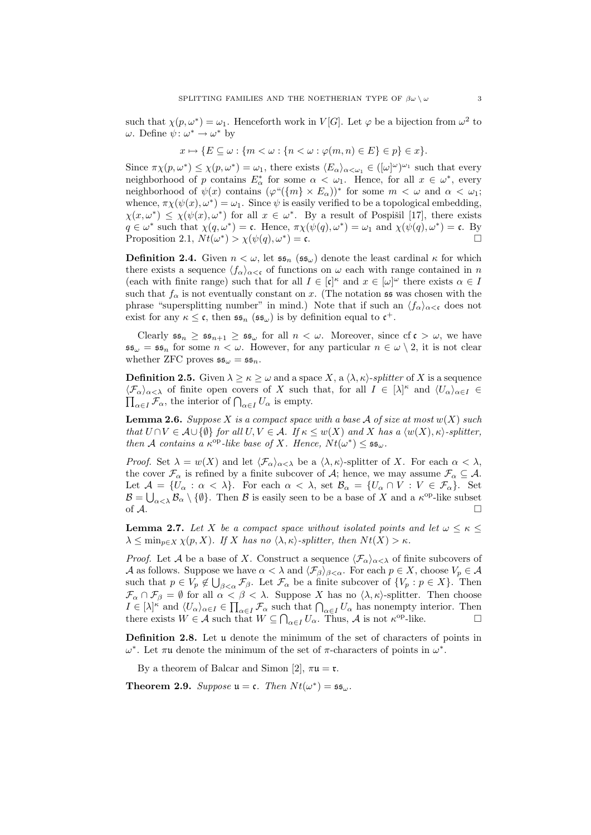such that  $\chi(p, \omega^*) = \omega_1$ . Henceforth work in  $V[G]$ . Let  $\varphi$  be a bijection from  $\omega^2$  to  $\omega$ . Define  $\psi: \omega^* \to \omega^*$  by

$$
x \mapsto \{ E \subseteq \omega : \{ m < \omega : \{ n < \omega : \varphi(m, n) \in E \} \in p \} \in x \}.
$$

Since  $\pi \chi(p, \omega^*) \leq \chi(p, \omega^*) = \omega_1$ , there exists  $\langle E_\alpha \rangle_{\alpha < \omega_1} \in ([\omega]^\omega)^{\omega_1}$  such that every neighborhood of p contains  $E^*_{\alpha}$  for some  $\alpha < \omega_1$ . Hence, for all  $x \in \omega^*$ , every neighborhood of  $\psi(x)$  contains  $(\varphi''(\{m\} \times E_\alpha))^*$  for some  $m < \omega$  and  $\alpha < \omega_1$ ; whence,  $\pi \chi(\psi(x), \omega^*) = \omega_1$ . Since  $\psi$  is easily verified to be a topological embedding,  $\chi(x,\omega^*) \leq \chi(\psi(x),\omega^*)$  for all  $x \in \omega^*$ . By a result of Pospišil [17], there exists  $q \in \omega^*$  such that  $\chi(q, \omega^*) = \mathfrak{c}$ . Hence,  $\pi \chi(\psi(q), \omega^*) = \omega_1$  and  $\chi(\psi(q), \omega^*) = \mathfrak{c}$ . By Proposition 2.1,  $Nt(\omega^*) > \chi(\psi(q), \omega^*) = \mathfrak{c}.$ 

**Definition 2.4.** Given  $n < \omega$ , let  $\mathfrak{ss}_n$  ( $\mathfrak{ss}_\omega$ ) denote the least cardinal  $\kappa$  for which there exists a sequence  $\langle f_{\alpha} \rangle_{\alpha < \mathfrak{c}}$  of functions on  $\omega$  each with range contained in n (each with finite range) such that for all  $I \in [\mathfrak{c}]^{\kappa}$  and  $x \in [\omega]^{\omega}$  there exists  $\alpha \in I$ such that  $f_{\alpha}$  is not eventually constant on x. (The notation 55 was chosen with the phrase "supersplitting number" in mind.) Note that if such an  $\langle f_{\alpha}\rangle_{\alpha<\mathfrak{c}}$  does not exist for any  $\kappa \leq \mathfrak{c}$ , then  $\mathfrak{ss}_n$  ( $\mathfrak{ss}_\omega$ ) is by definition equal to  $\mathfrak{c}^+$ .

Clearly  $\mathfrak{ss}_n \geq \mathfrak{ss}_{n+1} \geq \mathfrak{ss}_{\omega}$  for all  $n < \omega$ . Moreover, since  $f \mathfrak{c} > \omega$ , we have  $\mathfrak{ss}_{\omega} = \mathfrak{ss}_n$  for some  $n < \omega$ . However, for any particular  $n \in \omega \setminus 2$ , it is not clear whether ZFC proves  $\mathfrak{ss}_{\omega} = \mathfrak{ss}_n$ .

**Definition 2.5.** Given  $\lambda \geq \kappa \geq \omega$  and a space X, a  $\langle \lambda, \kappa \rangle$ -splitter of X is a sequence  $\langle \mathcal{F}_\alpha \rangle_{\alpha < \lambda}$  of finite open covers of X such that, for all  $I \in [\lambda]^{\kappa}$  and  $\langle U_\alpha \rangle_{\alpha \in I} \in$  $\prod_{\alpha \in I} \mathcal{F}_{\alpha}$ , the interior of  $\bigcap_{\alpha \in I} U_{\alpha}$  is empty.

**Lemma 2.6.** Suppose X is a compact space with a base A of size at most  $w(X)$  such that  $U \cap V \in \mathcal{A} \cup \{\emptyset\}$  for all  $U, V \in \mathcal{A}$ . If  $\kappa \leq w(X)$  and X has a  $\langle w(X), \kappa \rangle$ -splitter, then A contains a  $\kappa^{\text{op}}$ -like base of X. Hence,  $Nt(\omega^*) \leq \mathfrak{ss}_{\omega}$ .

*Proof.* Set  $\lambda = w(X)$  and let  $\langle \mathcal{F}_\alpha \rangle_{\alpha < \lambda}$  be a  $\langle \lambda, \kappa \rangle$ -splitter of X. For each  $\alpha < \lambda$ , the cover  $\mathcal{F}_{\alpha}$  is refined by a finite subcover of A; hence, we may assume  $\mathcal{F}_{\alpha} \subseteq \mathcal{A}$ . Let  $\mathcal{A} = \{U_{\alpha} : \alpha < \lambda\}$ . For each  $\alpha < \lambda$ , set  $\mathcal{B}_{\alpha} = \{U_{\alpha} \cap V : V \in \mathcal{F}_{\alpha}\}$ . Set  $\mathcal{B} = \bigcup_{\alpha < \lambda} \mathcal{B}_{\alpha} \setminus \{\emptyset\}.$  Then  $\mathcal B$  is easily seen to be a base of X and a  $\kappa^{\text{op}}$ -like subset of  $A$ .

**Lemma 2.7.** Let X be a compact space without isolated points and let  $\omega \leq \kappa \leq$  $\lambda \leq \min_{p \in X} \chi(p, X)$ . If X has no  $\langle \lambda, \kappa \rangle$ -splitter, then  $N t(X) > \kappa$ .

*Proof.* Let A be a base of X. Construct a sequence  $\langle \mathcal{F}_{\alpha} \rangle_{\alpha < \lambda}$  of finite subcovers of A as follows. Suppose we have  $\alpha < \lambda$  and  $\langle \mathcal{F}_{\beta} \rangle_{\beta < \alpha}$ . For each  $p \in X$ , choose  $V_p \in \mathcal{A}$ such that  $p \in V_p \notin \bigcup_{\beta < \alpha} \mathcal{F}_{\beta}$ . Let  $\mathcal{F}_{\alpha}$  be a finite subcover of  $\{V_p : p \in X\}$ . Then  $\mathcal{F}_{\alpha} \cap \mathcal{F}_{\beta} = \emptyset$  for all  $\alpha < \beta < \lambda$ . Suppose X has no  $\langle \lambda, \kappa \rangle$ -splitter. Then choose  $I \in [\lambda]^{\kappa}$  and  $\langle U_{\alpha} \rangle_{\alpha \in I} \in \prod_{\alpha \in I} \mathcal{F}_{\alpha}$  such that  $\bigcap_{\alpha \in I} U_{\alpha}$  has nonempty interior. Then there exists  $W \in \mathcal{A}$  such that  $W \subseteq \bigcap_{\alpha \in I} U_{\alpha}$ . Thus,  $\mathcal{A}$  is not  $\kappa^{\rm op}$ -like.

Definition 2.8. Let u denote the minimum of the set of characters of points in  $ω^*$ . Let πu denote the minimum of the set of π-characters of points in  $ω^*$ .

By a theorem of Balcar and Simon [2],  $\pi\mathfrak{u} = \mathfrak{r}$ .

**Theorem 2.9.** Suppose  $\mathfrak{u} = \mathfrak{c}$ . Then  $Nt(\omega^*) = \mathfrak{ss}_{\omega}$ .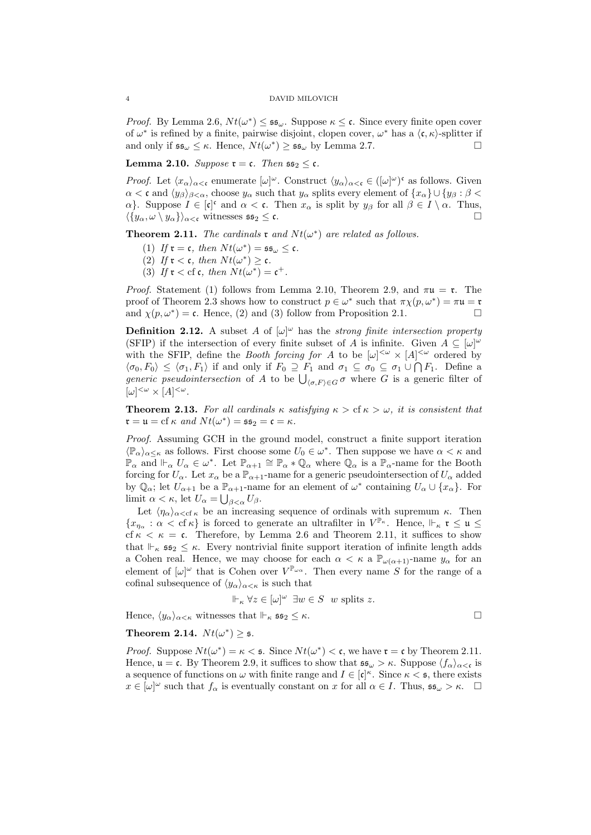*Proof.* By Lemma 2.6,  $Nt(\omega^*) \leq \mathfrak{ss}_{\omega}$ . Suppose  $\kappa \leq \mathfrak{c}$ . Since every finite open cover of  $\omega^*$  is refined by a finite, pairwise disjoint, clopen cover,  $\omega^*$  has a  $\langle \mathfrak{c}, \kappa \rangle$ -splitter if and only if  $\mathfrak{ss}_{\omega} \leq \kappa$ . Hence,  $Nt(\omega^*) \geq \mathfrak{ss}_{\omega}$  by Lemma 2.7.

**Lemma 2.10.** Suppose  $\mathfrak{r} = \mathfrak{c}$ . Then  $\mathfrak{ss}_2 \leq \mathfrak{c}$ .

*Proof.* Let  $\langle x_\alpha \rangle_{\alpha < \mathfrak{c}}$  enumerate  $[\omega]^\omega$ . Construct  $\langle y_\alpha \rangle_{\alpha < \mathfrak{c}} \in ([\omega]^\omega)^\mathfrak{c}$  as follows. Given  $\alpha < \mathfrak{c}$  and  $\langle y_\beta \rangle_{\beta < \alpha}$ , choose  $y_\alpha$  such that  $y_\alpha$  splits every element of  $\{x_\alpha\} \cup \{y_\beta : \beta < \alpha\}$  $\alpha$ . Suppose  $I \in [\mathfrak{c}]^{\mathfrak{c}}$  and  $\alpha < \mathfrak{c}$ . Then  $x_{\alpha}$  is split by  $y_{\beta}$  for all  $\beta \in I \setminus \alpha$ . Thus,  $\langle \{y_\alpha, \omega \setminus y_\alpha\}\rangle_{\alpha < \mathfrak{c}}$  witnesses  $\mathfrak{ss}_2 \leq \mathfrak{c}$ .

**Theorem 2.11.** The cardinals  $\mathfrak{r}$  and  $Nt(\omega^*)$  are related as follows.

- (1) If  $\mathfrak{r} = \mathfrak{c}$ , then  $Nt(\omega^*) = \mathfrak{ss}_{\omega} \leq \mathfrak{c}$ .
- (2) If  $\mathfrak{r} < \mathfrak{c}$ , then  $N t(\omega^*) \geq \mathfrak{c}$ .
- (3) If  $\mathfrak{r} < \text{cf } \mathfrak{c}$ , then  $Nt(\omega^*) = \mathfrak{c}^+$ .

*Proof.* Statement (1) follows from Lemma 2.10, Theorem 2.9, and  $\pi u = \tau$ . The proof of Theorem 2.3 shows how to construct  $p \in \omega^*$  such that  $\pi \chi(p, \omega^*) = \pi \mathfrak{u} = \mathfrak{r}$ and  $\chi(p,\omega^*) = \mathfrak{c}$ . Hence, (2) and (3) follow from Proposition 2.1.

**Definition 2.12.** A subset A of  $[\omega]^\omega$  has the strong finite intersection property (SFIP) if the intersection of every finite subset of A is infinite. Given  $A \subseteq [\omega]^{\omega}$ with the SFIP, define the *Booth forcing for A* to be  $[\omega]^{<\omega} \times [A]^{<\omega}$  ordered by  $\langle \sigma_0, F_0 \rangle \leq \langle \sigma_1, F_1 \rangle$  if and only if  $F_0 \supseteq F_1$  and  $\sigma_1 \subseteq \sigma_0 \subseteq \sigma_1 \cup \bigcap F_1$ . Define a *generic pseudointersection* of A to be  $\bigcup_{\langle \sigma, F \rangle \in G} \sigma$  where G is a generic filter of  $[\omega]^{<\omega} \times [A]^{<\omega}.$ 

**Theorem 2.13.** For all cardinals  $\kappa$  satisfying  $\kappa >$  cf  $\kappa > \omega$ , it is consistent that  $\mathfrak{r} = \mathfrak{u} = \text{cf } \kappa \text{ and } N t(\omega^*) = \mathfrak{ss}_2 = \mathfrak{c} = \kappa.$ 

Proof. Assuming GCH in the ground model, construct a finite support iteration  $\langle \mathbb{P}_{\alpha} \rangle_{\alpha \leq \kappa}$  as follows. First choose some  $U_0 \in \omega^*$ . Then suppose we have  $\alpha < \kappa$  and  $\mathbb{P}_{\alpha}$  and  $\vdash_{\alpha} U_{\alpha} \in \omega^*$ . Let  $\mathbb{P}_{\alpha+1} \cong \mathbb{P}_{\alpha} * \mathbb{Q}_{\alpha}$  where  $\mathbb{Q}_{\alpha}$  is a  $\mathbb{P}_{\alpha}$ -name for the Booth forcing for  $U_{\alpha}$ . Let  $x_{\alpha}$  be a  $\mathbb{P}_{\alpha+1}$ -name for a generic pseudointersection of  $U_{\alpha}$  added by  $\mathbb{Q}_{\alpha}$ ; let  $U_{\alpha+1}$  be a  $\mathbb{P}_{\alpha+1}$ -name for an element of  $\omega^*$  containing  $U_{\alpha} \cup \{x_{\alpha}\}.$  For limit  $\alpha < \kappa$ , let  $U_{\alpha} = \bigcup_{\beta < \alpha} U_{\beta}$ .

Let  $\langle \eta_{\alpha} \rangle_{\alpha < \text{cf } \kappa}$  be an increasing sequence of ordinals with supremum  $\kappa$ . Then  $\{x_{\eta_\alpha}: \alpha < \text{cf } \kappa\}$  is forced to generate an ultrafilter in  $V^{\mathbb{P}_{\kappa}}$ . Hence,  $\Vdash_{\kappa} \mathfrak{r} \leq \mathfrak{u} \leq$ cf  $\kappa < \kappa = \mathfrak{c}$ . Therefore, by Lemma 2.6 and Theorem 2.11, it suffices to show that  $\Vdash_{\kappa}$  ss<sub>2</sub>  $\leq$   $\kappa$ . Every nontrivial finite support iteration of infinite length adds a Cohen real. Hence, we may choose for each  $\alpha < \kappa$  a  $\mathbb{P}_{\omega(\alpha+1)}$ -name  $y_{\alpha}$  for an element of  $[\omega]^\omega$  that is Cohen over  $V^{\mathbb{P}_{\omega_\alpha}}$ . Then every name S for the range of a cofinal subsequence of  $\langle y_\alpha \rangle_{\alpha < \kappa}$  is such that

$$
\Vdash_{\kappa} \forall z \in [\omega]^{\omega} \exists w \in S \ \ w \text{ splits } z.
$$

Hence,  $\langle y_\alpha \rangle_{\alpha \leq \kappa}$  witnesses that  $\Vdash_{\kappa}$  ss<sub>2</sub>  $\leq \kappa$ .

# Theorem 2.14.  $Nt(\omega^*) \geq 5$ .

*Proof.* Suppose  $Nt(\omega^*) = \kappa <$  **s**. Since  $Nt(\omega^*) <$  **c**, we have  $\mathfrak{r} = \mathfrak{c}$  by Theorem 2.11. Hence,  $\mathfrak{u} = \mathfrak{c}$ . By Theorem 2.9, it suffices to show that  $\mathfrak{s}^{\mathfrak{g}}_{\omega} > \kappa$ . Suppose  $\langle f_{\alpha} \rangle_{\alpha < \mathfrak{c}}$  is a sequence of functions on  $\omega$  with finite range and  $I \in [\mathfrak{c}]^{\kappa}$ . Since  $\kappa < \mathfrak{s}$ , there exists  $x \in [\omega]^\omega$  such that  $f_\alpha$  is eventually constant on x for all  $\alpha \in I$ . Thus,  $\mathfrak{ss}_\omega > \kappa$ .  $\Box$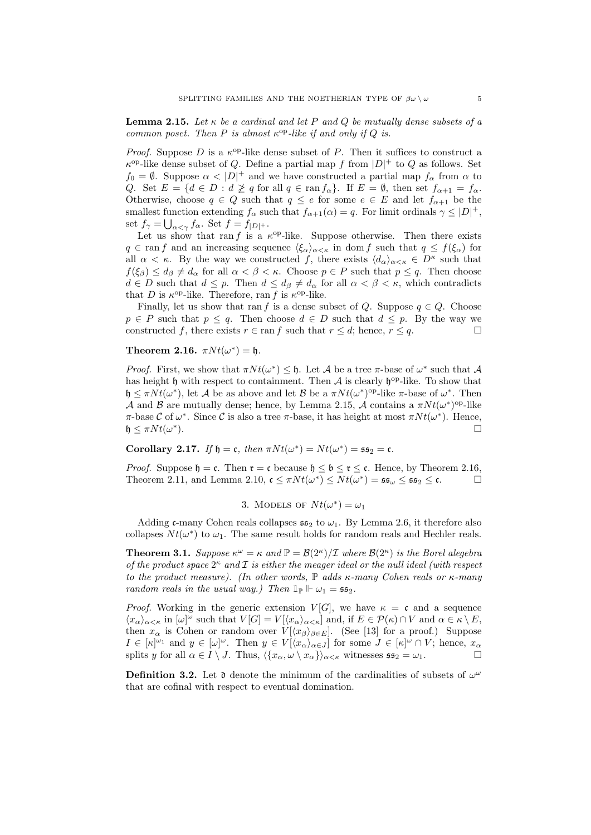**Lemma 2.15.** Let  $\kappa$  be a cardinal and let P and Q be mutually dense subsets of a common poset. Then P is almost  $\kappa^{\rm op}$ -like if and only if Q is.

*Proof.* Suppose D is a  $\kappa^{op}$ -like dense subset of P. Then it suffices to construct a  $\kappa^{\text{op}}$ -like dense subset of Q. Define a partial map f from  $|D|$ <sup>+</sup> to Q as follows. Set  $f_0 = \emptyset$ . Suppose  $\alpha < |D|^+$  and we have constructed a partial map  $f_\alpha$  from  $\alpha$  to Q. Set  $E = \{d \in D : d \not\geq q \text{ for all } q \in \text{ran } f_\alpha\}$ . If  $E = \emptyset$ , then set  $f_{\alpha+1} = f_\alpha$ . Otherwise, choose  $q \in Q$  such that  $q \leq e$  for some  $e \in E$  and let  $f_{\alpha+1}$  be the smallest function extending  $f_{\alpha}$  such that  $f_{\alpha+1}(\alpha) = q$ . For limit ordinals  $\gamma \leq |D|^+$ , set  $f_{\gamma} = \bigcup_{\alpha < \gamma} f_{\alpha}$ . Set  $f = f_{|D|} +$ .

Let us show that ran f is a  $\kappa^{\rm op}$ -like. Suppose otherwise. Then there exists  $q \in \text{ran } f$  and an increasing sequence  $\langle \xi_{\alpha} \rangle_{\alpha \leq \kappa}$  in dom f such that  $q \leq f(\xi_{\alpha})$  for all  $\alpha < \kappa$ . By the way we constructed f, there exists  $\langle d_{\alpha} \rangle_{\alpha < \kappa} \in D^{\kappa}$  such that  $f(\xi_{\beta}) \leq d_{\beta} \neq d_{\alpha}$  for all  $\alpha < \beta < \kappa$ . Choose  $p \in P$  such that  $p \leq q$ . Then choose  $d \in D$  such that  $d \leq p$ . Then  $d \leq d_{\beta} \neq d_{\alpha}$  for all  $\alpha < \beta < \kappa$ , which contradicts that D is  $\kappa^{\text{op}}$ -like. Therefore, ran f is  $\kappa^{\text{op}}$ -like.

Finally, let us show that ran f is a dense subset of Q. Suppose  $q \in Q$ . Choose  $p \in P$  such that  $p \leq q$ . Then choose  $d \in D$  such that  $d \leq p$ . By the way we constructed f, there exists  $r \in \text{ran } f$  such that  $r \leq d$ ; hence,  $r \leq q$ .

Theorem 2.16.  $\pi N t(\omega^*) = \mathfrak{h}.$ 

*Proof.* First, we show that  $\pi N t(\omega^*) \leq \mathfrak{h}$ . Let A be a tree  $\pi$ -base of  $\omega^*$  such that A has height  $\mathfrak h$  with respect to containment. Then  $\mathcal A$  is clearly  $\mathfrak h^{\mathrm{op}}$ -like. To show that  $\mathfrak{h} \leq \pi N t(\omega^*)$ , let A be as above and let B be a  $\pi N t(\omega^*)^{\text{op}}$ -like  $\pi$ -base of  $\omega^*$ . Then A and B are mutually dense; hence, by Lemma 2.15, A contains a  $\pi N t (\omega^*)^{\text{op-like}}$ π-base C of  $ω^*$ . Since C is also a tree π-base, it has height at most  $πNt(ω^*)$ . Hence,  $\mathfrak{h} \leq \pi N t(\omega^*)$ ).

Corollary 2.17. If  $\mathfrak{h} = \mathfrak{c}$ , then  $\pi N t(\omega^*) = N t(\omega^*) = \mathfrak{ss}_2 = \mathfrak{c}$ .

*Proof.* Suppose  $\mathfrak{h} = \mathfrak{c}$ . Then  $\mathfrak{r} = \mathfrak{c}$  because  $\mathfrak{h} \leq \mathfrak{b} \leq \mathfrak{r} \leq \mathfrak{c}$ . Hence, by Theorem 2.16, Theorem 2.11, and Lemma 2.10,  $\mathfrak{c} \leq \pi N t(\omega^*) \leq N t(\omega^*) = \mathfrak{ss}_{\omega} \leq \mathfrak{ss}_2 \leq \mathfrak{c}.$ 

3. MODELS OF 
$$
Nt(\omega^*) = \omega_1
$$

Adding c-many Cohen reals collapses  $\mathfrak{ss}_2$  to  $\omega_1$ . By Lemma 2.6, it therefore also collapses  $N t(\omega^*)$  to  $\omega_1$ . The same result holds for random reals and Hechler reals.

**Theorem 3.1.** Suppose  $\kappa^{\omega} = \kappa$  and  $\mathbb{P} = \mathcal{B}(2^{\kappa})/\mathcal{I}$  where  $\mathcal{B}(2^{\kappa})$  is the Borel alegebra of the product space  $2^{\kappa}$  and  $\mathcal I$  is either the meager ideal or the null ideal (with respect to the product measure). (In other words,  $\mathbb P$  adds  $\kappa$ -many Cohen reals or  $\kappa$ -many random reals in the usual way.) Then  $\mathbb{1}_{\mathbb{P}} \Vdash \omega_1 = \mathfrak{ss}_2$ .

*Proof.* Working in the generic extension  $V[G]$ , we have  $\kappa = \mathfrak{c}$  and a sequence  $\langle x_\alpha \rangle_{\alpha < \kappa}$  in  $[\omega]^\omega$  such that  $V[G] = V[\langle x_\alpha \rangle_{\alpha < \kappa}]$  and, if  $E \in \mathcal{P}(\kappa) \cap V$  and  $\alpha \in \kappa \setminus E$ , then  $x_{\alpha}$  is Cohen or random over  $V[\langle x_{\beta} \rangle_{\beta \in E}]$ . (See [13] for a proof.) Suppose  $I \in [\kappa]^{\omega_1}$  and  $y \in [\omega]^\omega$ . Then  $y \in V[\langle x_\alpha \rangle_{\alpha \in J}]$  for some  $J \in [\kappa]^\omega \cap V$ ; hence,  $x_\alpha$ splits y for all  $\alpha \in I \setminus J$ . Thus,  $\langle \{x_\alpha, \omega \setminus x_\alpha\} \rangle_{\alpha < \kappa}$  witnesses  $\mathfrak{ss}_2 = \omega_1$ .

**Definition 3.2.** Let  $\mathfrak d$  denote the minimum of the cardinalities of subsets of  $\omega^{\omega}$ that are cofinal with respect to eventual domination.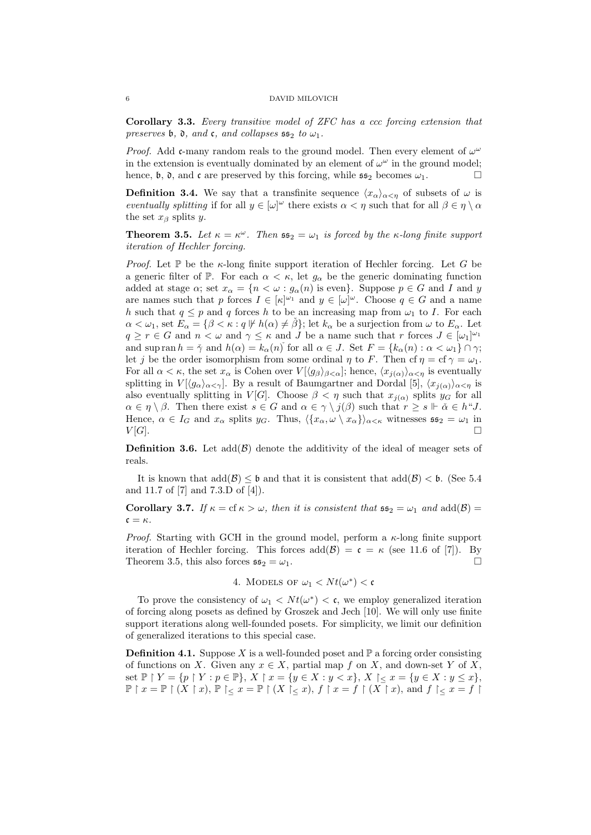Corollary 3.3. Every transitive model of ZFC has a ccc forcing extension that preserves b,  $\mathfrak d$ , and  $\mathfrak c$ , and collapses  $\mathfrak s$   $\mathfrak s_2$  to  $\omega_1$ .

*Proof.* Add c-many random reals to the ground model. Then every element of  $\omega^{\omega}$ in the extension is eventually dominated by an element of  $\omega^{\omega}$  in the ground model; hence,  $\mathfrak b$ ,  $\mathfrak d$ , and  $\mathfrak c$  are preserved by this forcing, while  $\mathfrak s\mathfrak s_2$  becomes  $\omega_1$ .

**Definition 3.4.** We say that a transfinite sequence  $\langle x_{\alpha}\rangle_{\alpha<\eta}$  of subsets of  $\omega$  is eventually splitting if for all  $y \in [\omega]^\omega$  there exists  $\alpha < \eta$  such that for all  $\beta \in \eta \setminus \alpha$ the set  $x_\beta$  splits y.

**Theorem 3.5.** Let  $\kappa = \kappa^{\omega}$ . Then  $\mathfrak{ss}_2 = \omega_1$  is forced by the  $\kappa$ -long finite support iteration of Hechler forcing.

*Proof.* Let  $\mathbb P$  be the  $\kappa$ -long finite support iteration of Hechler forcing. Let G be a generic filter of P. For each  $\alpha < \kappa$ , let  $g_{\alpha}$  be the generic dominating function added at stage  $\alpha$ ; set  $x_{\alpha} = \{n < \omega : g_{\alpha}(n)$  is even. Suppose  $p \in G$  and I and y are names such that p forces  $I \in [\kappa]^{\omega_1}$  and  $y \in [\omega]^{\omega}$ . Choose  $q \in G$  and a name h such that  $q \leq p$  and q forces h to be an increasing map from  $\omega_1$  to I. For each  $\alpha < \omega_1$ , set  $E_\alpha = {\beta < \kappa : q \not\Vdash h(\alpha) \neq \beta};$  let  $k_\alpha$  be a surjection from  $\omega$  to  $E_\alpha$ . Let  $q \ge r \in G$  and  $n < \omega$  and  $\gamma \le \kappa$  and J be a name such that r forces  $J \in [\omega_1]^{\omega_1}$ and sup ran  $h = \tilde{\gamma}$  and  $h(\alpha) = k_{\alpha}(n)$  for all  $\alpha \in J$ . Set  $F = \{k_{\alpha}(n) : \alpha < \omega_1\} \cap \gamma$ ; let j be the order isomorphism from some ordinal  $\eta$  to F. Then cf  $\eta = \text{cf } \gamma = \omega_1$ . For all  $\alpha < \kappa$ , the set  $x_{\alpha}$  is Cohen over  $V[\langle g_{\beta} \rangle_{\beta < \alpha}]$ ; hence,  $\langle x_{j(\alpha)} \rangle_{\alpha < \eta}$  is eventually splitting in  $V[\langle g_{\alpha}\rangle_{\alpha<\gamma}]$ . By a result of Baumgartner and Dordal [5],  $\langle x_{j(\alpha)}\rangle_{\alpha<\gamma}$  is also eventually splitting in V[G]. Choose  $\beta < \eta$  such that  $x_{i(\alpha)}$  splits  $y_G$  for all  $\alpha \in \eta \setminus \beta$ . Then there exist  $s \in G$  and  $\alpha \in \gamma \setminus j(\beta)$  such that  $r \geq s \Vdash \check{\alpha} \in h^{\omega}J$ . Hence,  $\alpha \in I_G$  and  $x_\alpha$  splits  $y_G$ . Thus,  $\langle \{x_\alpha, \omega \setminus x_\alpha\} \rangle_{\alpha < \kappa}$  witnesses  $\mathfrak{ss}_2 = \omega_1$  in  $V[G].$ 

**Definition 3.6.** Let  $add(\mathcal{B})$  denote the additivity of the ideal of meager sets of reals.

It is known that  $\text{add}(\mathcal{B}) \leq \mathfrak{b}$  and that it is consistent that  $\text{add}(\mathcal{B}) < \mathfrak{b}$ . (See 5.4) and 11.7 of [7] and 7.3.D of [4]).

**Corollary 3.7.** If  $\kappa = \text{cf } \kappa > \omega$ , then it is consistent that  $\mathfrak{ss}_2 = \omega_1$  and  $\text{add}(\mathcal{B}) =$  $\mathfrak{c} = \kappa$ .

*Proof.* Starting with GCH in the ground model, perform a  $\kappa$ -long finite support iteration of Hechler forcing. This forces  $add(\mathcal{B}) = c = \kappa$  (see 11.6 of [7]). By Theorem 3.5, this also forces  $\mathfrak{ss}_2 = \omega_1$ .

4. MODELS OF 
$$
\omega_1 < Nt(\omega^*) < \mathfrak{c}
$$

To prove the consistency of  $\omega_1 < N t(\omega^*) < c$ , we employ generalized iteration of forcing along posets as defined by Groszek and Jech [10]. We will only use finite support iterations along well-founded posets. For simplicity, we limit our definition of generalized iterations to this special case.

**Definition 4.1.** Suppose X is a well-founded poset and  $\mathbb{P}$  a forcing order consisting of functions on X. Given any  $x \in X$ , partial map f on X, and down-set Y of X, set  $\mathbb{P} \restriction Y = \{p \restriction Y : p \in \mathbb{P}\}, X \restriction x = \{y \in X : y < x\}, X \restriction \{x = 1\} \cup \{y \in X : y \leq x\}, X \restriction \{x = 2\}$  $\mathbb{P} \restriction x = \mathbb{P} \restriction (X \restriction x), \mathbb{P} \restriction < x = \mathbb{P} \restriction (X \restriction < x), f \restriction x = f \restriction (X \restriction x), \text{ and } f \restriction < x = f \restriction$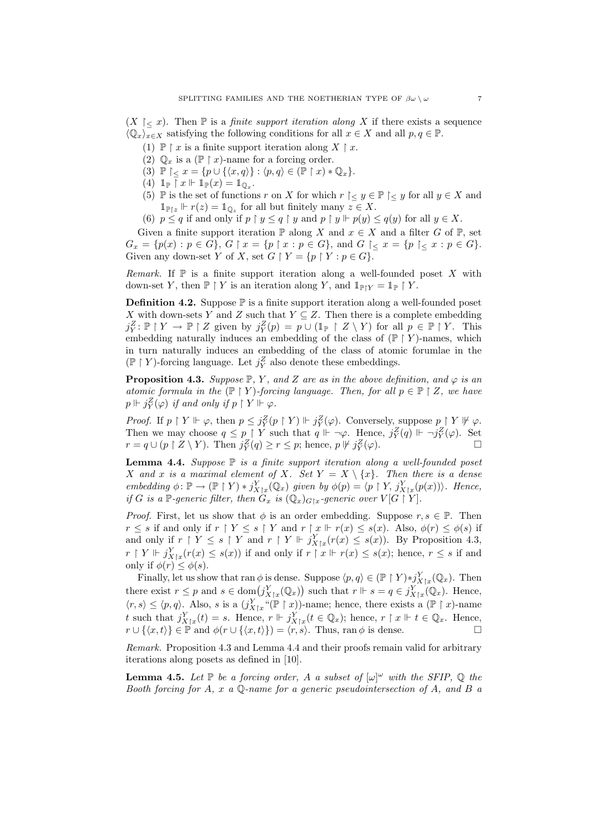$(X \mid < x)$ . Then  $\mathbb P$  is a *finite support iteration along* X if there exists a sequence  $\langle \mathbb{Q}_x \rangle_{x \in X}$  satisfying the following conditions for all  $x \in X$  and all  $p, q \in \mathbb{P}$ .

- (1)  $\mathbb{P} \restriction x$  is a finite support iteration along  $X \restriction x$ .
	- (2)  $\mathbb{Q}_x$  is a  $(\mathbb{P} \restriction x)$ -name for a forcing order.
	- (3)  $\mathbb{P} \restriction < x = \{p \cup \{\langle x, q \rangle\} : \langle p, q \rangle \in (\mathbb{P} \restriction x) * \mathbb{Q}_x\}.$
- (4)  $\mathbb{1}_{\mathbb{P}}$   $\ulcorner x \Vdash \mathbb{1}_{\mathbb{P}}(x) = \mathbb{1}_{\mathbb{Q}_x}$ .
- (5) P is the set of functions r on X for which  $r \restriction < y \in \mathbb{P} \restriction < y$  for all  $y \in X$  and  $\mathbb{1}_{\mathbb{P}\vert z}\Vdash r(z)=\mathbb{1}_{\mathbb{Q}_z}$  for all but finitely many  $z\in X$ .
- (6)  $p \leq q$  if and only if  $p \restriction y \leq q \restriction y$  and  $p \restriction y \Vdash p(y) \leq q(y)$  for all  $y \in X$ .

Given a finite support iteration  $\mathbb P$  along X and  $x \in X$  and a filter G of  $\mathbb P$ , set  $G_x = \{p(x) : p \in G\}, G \upharpoonright x = \{p \upharpoonright x : p \in G\}, \text{ and } G \upharpoonright_{\leq} x = \{p \upharpoonright_{\leq} x : p \in G\}.$ Given any down-set Y of X, set  $G \restriction Y = \{p \restriction Y : p \in G\}.$ 

Remark. If  $\mathbb P$  is a finite support iteration along a well-founded poset X with down-set Y, then  $\mathbb{P} \restriction Y$  is an iteration along Y, and  $\mathbb{1}_{\mathbb{P} \restriction Y} = \mathbb{1}_{\mathbb{P}} \restriction Y$ .

**Definition 4.2.** Suppose  $\mathbb{P}$  is a finite support iteration along a well-founded poset X with down-sets Y and Z such that  $Y \subseteq Z$ . Then there is a complete embedding  $j_Y^Z$ :  $\mathbb{P} \restriction Y \to \mathbb{P} \restriction Z$  given by  $j_Y^Z(p) = p \cup (\mathbb{1}_{\mathbb{P}} \restriction Z \setminus Y)$  for all  $p \in \mathbb{P} \restriction Y$ . This embedding naturally induces an embedding of the class of  $(\mathbb{P} \restriction Y)$ -names, which in turn naturally induces an embedding of the class of atomic forumlae in the  $(\mathbb{P}\restriction Y)$  forcing language. Let  $j_Y^Z$  also denote these embeddings.

**Proposition 4.3.** Suppose  $\mathbb{P}, Y$ , and Z are as in the above definition, and  $\varphi$  is an atomic formula in the  $(\mathbb{P} \restriction Y)$ -forcing language. Then, for all  $p \in \mathbb{P} \restriction Z$ , we have  $p \Vdash j^Z_Y(\varphi)$  if and only if  $p \restriction Y \Vdash \varphi$ .

*Proof.* If  $p \restriction Y \Vdash \varphi$ , then  $p \leq j_Y^Z(p \restriction Y) \Vdash j_Y^Z(\varphi)$ . Conversely, suppose  $p \restriction Y \Vdash \varphi$ . Then we may choose  $q \leq p \restriction Y$  such that  $q \Vdash \neg \varphi$ . Hence,  $j_Y^Z(q) \Vdash \neg j_Y^Z(\varphi)$ . Set  $r = q \cup (p \upharpoonright Z \setminus Y)$ . Then  $j_Y^Z(q) \ge r \le p$ ; hence,  $p \not\Vdash j_Y^Z(\varphi)$ .

**Lemma 4.4.** Suppose  $\mathbb P$  is a finite support iteration along a well-founded poset X and x is a maximal element of X. Set  $Y = X \setminus \{x\}$ . Then there is a dense embedding  $\phi \colon \mathbb{P} \to (\mathbb{P} \restriction Y) * j_{X \mid x}^Y(\mathbb{Q}_x)$  given by  $\phi(p) = \langle p \restriction Y, j_{X \mid x}^Y(p(x)) \rangle$ . Hence, if G is a P-generic filter, then  $G_x$  is  $(\mathbb{Q}_x)_{G\vert x}$ -generic over  $V[G\restriction Y]$ .

*Proof.* First, let us show that  $\phi$  is an order embedding. Suppose  $r, s \in \mathbb{P}$ . Then  $r \leq s$  if and only if  $r \restriction Y \leq s \restriction Y$  and  $r \restriction x \Vdash r(x) \leq s(x)$ . Also,  $\phi(r) \leq \phi(s)$  if and only if  $r \upharpoonright Y \leq s \upharpoonright Y$  and  $r \upharpoonright Y \Vdash j_{X\upharpoonright x}^Y(r(x) \leq s(x))$ . By Proposition 4.3,  $r \restriction Y \Vdash j_{X\upharpoonright x}^Y(r(x) \leq s(x))$  if and only if  $r \restriction x \Vdash r(x) \leq s(x)$ ; hence,  $r \leq s$  if and only if  $\phi(r) \leq \phi(s)$ .

Finally, let us show that ran  $\phi$  is dense. Suppose  $\langle p, q \rangle \in (\mathbb{P} \restriction Y) * j_{X \upharpoonright x}^{Y}(\mathbb{Q}_{x})$ . Then there exist  $r \leq p$  and  $s \in \text{dom}(j_{X \upharpoonright x}^{Y}(\mathbb{Q}_{x}))$  such that  $r \Vdash s = q \in j_{X \upharpoonright x}^{Y}(\mathbb{Q}_{x})$ . Hence,  $\langle r, s \rangle \leq \langle p, q \rangle$ . Also, s is a  $(j_{X|x}^Y \cdot (\mathbb{P} \restriction x))$ -name; hence, there exists a  $(\mathbb{P} \restriction x)$ -name t such that  $j_{X|x}^Y(t) = s$ . Hence,  $r \Vdash j_{X|x}^Y(t \in \mathbb{Q}_x)$ ; hence,  $r \upharpoonright x \Vdash t \in \mathbb{Q}_x$ . Hence,  $r \cup \{\langle x, t \rangle\} \in \mathbb{P}$  and  $\phi(r \cup \{\langle x, t \rangle\}) = \langle r, s \rangle$ . Thus, ran  $\phi$  is dense.

Remark. Proposition 4.3 and Lemma 4.4 and their proofs remain valid for arbitrary iterations along posets as defined in [10].

**Lemma 4.5.** Let  $\mathbb P$  be a forcing order, A a subset of  $[\omega]^\omega$  with the SFIP,  $\mathbb Q$  the Booth forcing for A, x a  $\mathbb Q$ -name for a generic pseudointersection of A, and B a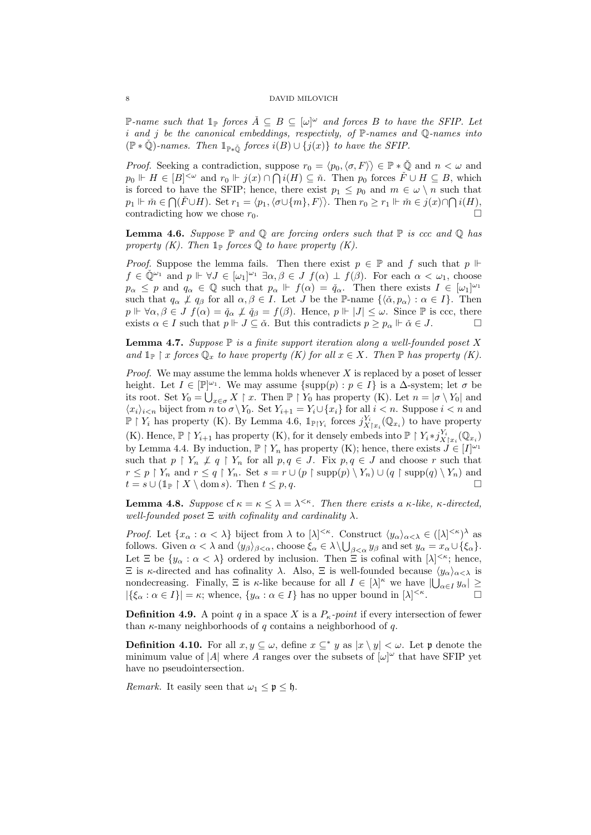P-name such that  $\mathbb{1}_{\mathbb{P}}$  forces  $\check{A} \subseteq B \subseteq [\omega]^{\omega}$  and forces B to have the SFIP. Let i and j be the canonical embeddings, respectivly, of  $\mathbb{P}\text{-names}$  and  $\mathbb{Q}\text{-names}$  into  $(\mathbb{P} * \check{\mathbb{Q}})$ -names. Then  $\mathbb{1}_{\mathbb{P} * \check{\mathbb{Q}}}$  forces  $i(B) \cup \{j(x)\}\$  to have the SFIP.

*Proof.* Seeking a contradiction, suppose  $r_0 = \langle p_0, \langle \sigma, F \rangle \rangle \in \mathbb{P} * \check{\mathbb{Q}}$  and  $n < \omega$  and  $p_0 \Vdash H \in [B]^{<\omega}$  and  $r_0 \Vdash j(x) \cap \bigcap i(H) \subseteq \check{n}$ . Then  $p_0$  forces  $\check{F} \cup H \subseteq B$ , which is forced to have the SFIP; hence, there exist  $p_1 \leq p_0$  and  $m \in \omega \setminus n$  such that  $p_1 \Vdash \check{m} \in \bigcap (\check{F} \cup H)$ . Set  $r_1 = \langle p_1, \langle \sigma \cup \{m\}, F \rangle \rangle$ . Then  $r_0 \ge r_1 \Vdash \check{m} \in j(x) \cap \bigcap i(H)$ , contradicting how we chose  $r_0$ .

**Lemma 4.6.** Suppose  $\mathbb P$  and  $\mathbb Q$  are forcing orders such that  $\mathbb P$  is ccc and  $\mathbb Q$  has property (K). Then  $\mathbb{1}_{\mathbb{P}}$  forces  $\check{\mathbb{Q}}$  to have property (K).

*Proof.* Suppose the lemma fails. Then there exist  $p \in \mathbb{P}$  and f such that  $p \Vdash$  $f \in \check{\mathbb{Q}}^{\omega_1}$  and  $p \Vdash \forall J \in [\omega_1]^{\omega_1} \exists \alpha, \beta \in J \ f(\alpha) \perp f(\beta)$ . For each  $\alpha < \omega_1$ , choose  $p_{\alpha} \leq p$  and  $q_{\alpha} \in \mathbb{Q}$  such that  $p_{\alpha} \Vdash f(\alpha) = \check{q}_{\alpha}$ . Then there exists  $I \in [\omega_1]^{\omega_1}$ such that  $q_{\alpha} \not\perp q_{\beta}$  for all  $\alpha, \beta \in I$ . Let J be the P-name  $\{\langle \check{\alpha}, p_{\alpha} \rangle : \alpha \in I\}$ . Then  $p \Vdash \forall \alpha, \beta \in J$   $f(\alpha) = \check{q}_{\alpha} \not\perp \check{q}_{\beta} = f(\beta)$ . Hence,  $p \Vdash |J| \leq \omega$ . Since  $\mathbb P$  is ccc, there exists  $\alpha \in I$  such that  $p \Vdash J \subseteq \check{\alpha}$ . But this contradicts  $p \geq p_{\alpha} \Vdash \check{\alpha} \in J$ .

**Lemma 4.7.** Suppose  $\mathbb P$  is a finite support iteration along a well-founded poset X and  $\mathbb{1}_{\mathbb{P}} \restriction x$  forces  $\mathbb{Q}_x$  to have property  $(K)$  for all  $x \in X$ . Then  $\mathbb{P}$  has property  $(K)$ .

*Proof.* We may assume the lemma holds whenever  $X$  is replaced by a poset of lesser height. Let  $I \in [\mathbb{P}]^{\omega_1}$ . We may assume  $\{\text{supp}(p) : p \in I\}$  is a  $\Delta$ -system; let  $\sigma$  be its root. Set  $Y_0 = \bigcup_{x \in \sigma} X \upharpoonright x$ . Then  $\mathbb{P} \upharpoonright Y_0$  has property  $(K)$ . Let  $n = |\sigma \setminus Y_0|$  and  $\langle x_i \rangle_{i \le n}$  biject from n to  $\sigma \backslash Y_0$ . Set  $Y_{i+1} = Y_i \cup \{x_i\}$  for all  $i \le n$ . Suppose  $i \le n$  and  $\mathbb{P} \restriction Y_i$  has property (K). By Lemma 4.6,  $1_{\mathbb{P} \restriction Y_i}$  forces  $j_{X \restriction x_i}^{Y_i}(\mathbb{Q}_{x_i})$  to have property (K). Hence,  $\mathbb{P} \restriction Y_{i+1}$  has property (K), for it densely embeds into  $\mathbb{P} \restriction Y_i * j_{X \restriction x_i}^{Y_i}(\mathbb{Q}_{x_i})$ by Lemma 4.4. By induction,  $\mathbb{P} \restriction Y_n$  has property (K); hence, there exists  $J \in [I]^{\omega_1}$ such that  $p \restriction Y_n \not\perp q \restriction Y_n$  for all  $p, q \in J$ . Fix  $p, q \in J$  and choose r such that  $r \leq p \restriction Y_n$  and  $r \leq q \restriction Y_n$ . Set  $s = r \cup (p \restriction \text{supp}(p) \setminus Y_n) \cup (q \restriction \text{supp}(q) \setminus Y_n)$  and  $t = s \cup (\mathbb{1}_{\mathbb{P}} \restriction X \setminus \text{dom } s)$ . Then  $t \leq p, q$ .

**Lemma 4.8.** Suppose of  $\kappa = \kappa \leq \lambda = \lambda^{<\kappa}$ . Then there exists a  $\kappa$ -like,  $\kappa$ -directed, well-founded poset  $\Xi$  with cofinality and cardinality  $\lambda$ .

*Proof.* Let  $\{x_\alpha : \alpha < \lambda\}$  biject from  $\lambda$  to  $[\lambda]^{<\kappa}$ . Construct  $\langle y_\alpha \rangle_{\alpha < \lambda} \in ([\lambda]^{<\kappa})^{\lambda}$  as follows. Given  $\alpha < \lambda$  and  $\langle y_{\beta} \rangle_{\beta < \alpha}$ , choose  $\xi_{\alpha} \in \lambda \setminus \bigcup_{\beta < \alpha} y_{\beta}$  and set  $y_{\alpha} = x_{\alpha} \cup \{\xi_{\alpha}\}.$ Let  $\Xi$  be  $\{y_\alpha : \alpha < \lambda\}$  ordered by inclusion. Then  $\Xi$  is cofinal with  $[\lambda]^{<\kappa}$ ; hence,  $\Xi$  is κ-directed and has cofinality λ. Also,  $\Xi$  is well-founded because  $\langle y_\alpha \rangle_{\alpha < \lambda}$  is nondecreasing. Finally,  $\Xi$  is  $\kappa$ -like because for all  $I \in [\lambda]^{\kappa}$  we have  $|\bigcup_{\alpha \in I} y_{\alpha}| \geq$  $|\{\xi_{\alpha} : \alpha \in I\}| = \kappa$ ; whence,  $\{y_{\alpha} : \alpha \in I\}$  has no upper bound in  $[\lambda]^{<\kappa}$  $\overline{\phantom{a}}$ .

**Definition 4.9.** A point q in a space X is a  $P_{\kappa}$ -point if every intersection of fewer than  $\kappa$ -many neighborhoods of q contains a neighborhood of q.

**Definition 4.10.** For all  $x, y \subseteq \omega$ , define  $x \subseteq^* y$  as  $|x \setminus y| < \omega$ . Let p denote the minimum value of |A| where A ranges over the subsets of  $[\omega]^\omega$  that have SFIP yet have no pseudointersection.

*Remark.* It easily seen that  $\omega_1 \leq \mathfrak{p} \leq \mathfrak{h}$ .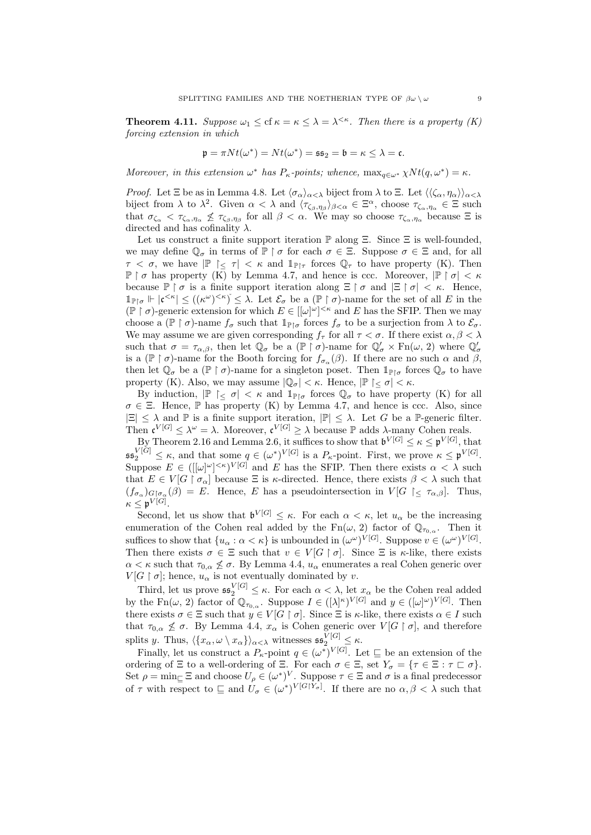**Theorem 4.11.** Suppose  $\omega_1 \leq \text{cf } \kappa = \kappa \leq \lambda = \lambda^{<\kappa}$ . Then there is a property (K) forcing extension in which

$$
\mathfrak{p} = \pi N t(\omega^*) = N t(\omega^*) = \mathfrak{ss}_2 = \mathfrak{b} = \kappa \leq \lambda = \mathfrak{c}.
$$

Moreover, in this extension  $\omega^*$  has  $P_{\kappa}$ -points; whence,  $\max_{q \in \omega^*} \chi Nt(q, \omega^*) = \kappa$ .

*Proof.* Let  $\Xi$  be as in Lemma 4.8. Let  $\langle \sigma_{\alpha} \rangle_{\alpha < \lambda}$  biject from  $\lambda$  to  $\Xi$ . Let  $\langle \langle \zeta_{\alpha}, \eta_{\alpha} \rangle \rangle_{\alpha < \lambda}$ biject from  $\lambda$  to  $\lambda^2$ . Given  $\alpha < \lambda$  and  $\langle \tau_{\zeta_\beta,\eta_\beta} \rangle_{\beta < \alpha} \in \Xi^\alpha$ , choose  $\tau_{\zeta_\alpha,\eta_\alpha} \in \Xi$  such that  $\sigma_{\zeta_{\alpha}} < \tau_{\zeta_{\alpha},\eta_{\alpha}} \nleq \tau_{\zeta_{\beta},\eta_{\beta}}$  for all  $\beta < \alpha$ . We may so choose  $\tau_{\zeta_{\alpha},\eta_{\alpha}}$  because  $\Xi$  is directed and has cofinality  $\lambda$ .

Let us construct a finite support iteration  $\mathbb P$  along  $\Xi$ . Since  $\Xi$  is well-founded, we may define  $\mathbb{Q}_{\sigma}$  in terms of  $\mathbb{P} \restriction \sigma$  for each  $\sigma \in \Xi$ . Suppose  $\sigma \in \Xi$  and, for all  $\tau < \sigma$ , we have  $|\mathbb{P}| < \tau < \kappa$  and  $\mathbb{1}_{\mathbb{P}\upharpoonright\tau}$  forces  $\mathbb{Q}_{\tau}$  to have property (K). Then  $\mathbb{P} \restriction \sigma$  has property (K) by Lemma 4.7, and hence is ccc. Moreover,  $|\mathbb{P} \restriction \sigma| < \kappa$ because  $\mathbb{P} \restriction \sigma$  is a finite support iteration along  $\Xi \restriction \sigma$  and  $|\Xi \restriction \sigma| < \kappa$ . Hence,  $\mathbb{1}_{\mathbb{P}\vert \sigma} \Vdash |\mathfrak{c}^{\langle \kappa \vert}\rangle \leq ((\kappa^{\omega})^{\langle \kappa \vert})^{\langle \kappa \vert}) \leq \lambda$ . Let  $\mathcal{E}_{\sigma}$  be a  $(\mathbb{P}\upharpoonright \sigma)$ -name for the set of all E in the  $(\mathbb{P} \restriction \sigma)$ -generic extension for which  $E \in [[\omega]^\omega]^{<\kappa}$  and E has the SFIP. Then we may choose a ( $\mathbb{P} \restriction \sigma$ )-name  $f_{\sigma}$  such that  $\mathbb{1}_{\mathbb{P} \restriction \sigma}$  forces  $f_{\sigma}$  to be a surjection from  $\lambda$  to  $\mathcal{E}_{\sigma}$ . We may assume we are given corresponding  $f_{\tau}$  for all  $\tau < \sigma$ . If there exist  $\alpha, \beta < \lambda$ such that  $\sigma = \tau_{\alpha,\beta}$ , then let  $\mathbb{Q}_{\sigma}$  be a  $(\mathbb{P} \restriction \sigma)$ -name for  $\mathbb{Q}'_{\sigma} \times \text{Fn}(\omega, 2)$  where  $\mathbb{Q}'_{\sigma}$ is a  $(\mathbb{P} \restriction \sigma)$ -name for the Booth forcing for  $f_{\sigma_\alpha}(\beta)$ . If there are no such  $\alpha$  and  $\beta$ , then let  $\mathbb{Q}_{\sigma}$  be a  $(\mathbb{P} \restriction \sigma)$ -name for a singleton poset. Then  $\mathbb{1}_{\mathbb{P} \restriction \sigma}$  forces  $\mathbb{Q}_{\sigma}$  to have property (K). Also, we may assume  $|\mathbb{Q}_{\sigma}| < \kappa$ . Hence,  $|\mathbb{P}| \leq \sigma < \kappa$ .

By induction,  $|\mathbb{P}| < \sigma < \kappa$  and  $\mathbb{1}_{\mathbb{P}\upharpoonright \sigma}$  forces  $\mathbb{Q}_{\sigma}$  to have property (K) for all  $\sigma \in \Xi$ . Hence, P has property (K) by Lemma 4.7, and hence is ccc. Also, since  $|\Xi| \leq \lambda$  and  $\mathbb P$  is a finite support iteration,  $|\mathbb P| \leq \lambda$ . Let G be a P-generic filter. Then  $\mathfrak{c}^{V[G]} \leq \lambda^{\omega} = \lambda$ . Moreover,  $\mathfrak{c}^{V[G]} \geq \lambda$  because  $\mathbb P$  adds  $\lambda$ -many Cohen reals.

By Theorem 2.16 and Lemma 2.6, it suffices to show that  $\mathfrak{b}^{V[G]} \leq \kappa \leq \mathfrak{p}^{V[G]}$ , that  $\mathfrak{ss}_2^{V[G]} \leq \kappa$ , and that some  $q \in (\omega^*)^{V[G]}$  is a  $P_\kappa$ -point. First, we prove  $\kappa \leq \mathfrak{p}^{V[G]}$ . Suppose  $E \in (([\omega]^\omega]^{<\kappa})^{V[G]}$  and E has the SFIP. Then there exists  $\alpha < \lambda$  such that  $E \in V[G \restriction \sigma_\alpha]$  because  $\Xi$  is  $\kappa$ -directed. Hence, there exists  $\beta < \lambda$  such that  $(f_{\sigma_\alpha})_{G \upharpoonright \sigma_\alpha}(\beta) = E$ . Hence, E has a pseudointersection in  $V[G] \leq \tau_{\alpha,\beta}$ . Thus,  $\kappa \leq \mathfrak{p}^{V[G]}.$ 

Second, let us show that  $\mathfrak{b}^{V[G]} \leq \kappa$ . For each  $\alpha < \kappa$ , let  $u_{\alpha}$  be the increasing enumeration of the Cohen real added by the  $Fn(\omega, 2)$  factor of  $\mathbb{Q}_{\tau_{0,\alpha}}$ . Then it suffices to show that  $\{u_\alpha : \alpha < \kappa\}$  is unbounded in  $(\omega^\omega)^{V[G]}$ . Suppose  $v \in (\omega^\omega)^{V[G]}$ . Then there exists  $\sigma \in \Xi$  such that  $v \in V[G \restriction \sigma]$ . Since  $\Xi$  is  $\kappa$ -like, there exists  $\alpha < \kappa$  such that  $\tau_{0,\alpha} \nleq \sigma$ . By Lemma 4.4,  $u_{\alpha}$  enumerates a real Cohen generic over  $V[G \restriction \sigma]$ ; hence,  $u_{\alpha}$  is not eventually dominated by v.

Third, let us prove  $\mathfrak{ss}_2^{V[G]} \leq \kappa$ . For each  $\alpha < \lambda$ , let  $x_\alpha$  be the Cohen real added by the Fn( $\omega$ , 2) factor of  $\mathbb{Q}_{\tau_{0,\alpha}}$ . Suppose  $I \in ([\lambda]^{\kappa})^{V[G]}$  and  $y \in ([\omega]^{\omega})^{V[G]}$ . Then there exists  $\sigma \in \Xi$  such that  $y \in V[G \restriction \sigma]$ . Since  $\Xi$  is  $\kappa$ -like, there exists  $\alpha \in I$  such that  $\tau_{0,\alpha} \nleq \sigma$ . By Lemma 4.4,  $x_{\alpha}$  is Cohen generic over  $V[G \restriction \sigma]$ , and therefore splits y. Thus,  $\langle \{x_\alpha, \omega \setminus x_\alpha\} \rangle_{\alpha < \lambda}$  witnesses  $\mathfrak{ss}_2^{V[G]} \leq \kappa$ .

Finally, let us construct a  $P_{\kappa}$ -point  $q \in (\omega^*)^{V[G]}$ . Let  $\sqsubseteq$  be an extension of the ordering of  $\Xi$  to a well-ordering of  $\Xi$ . For each  $\sigma \in \Xi$ , set  $Y_{\sigma} = {\tau \in \Xi : \tau \sqsubset \sigma}$ . Set  $\rho = \min_{\square} \Xi$  and choose  $U_{\rho} \in (\omega^*)^V$ . Suppose  $\tau \in \Xi$  and  $\sigma$  is a final predecessor of  $\tau$  with respect to  $\sqsubseteq$  and  $U_{\sigma} \in (\omega^*)^{V[G\restriction Y_{\sigma}]}$ . If there are no  $\alpha, \beta < \lambda$  such that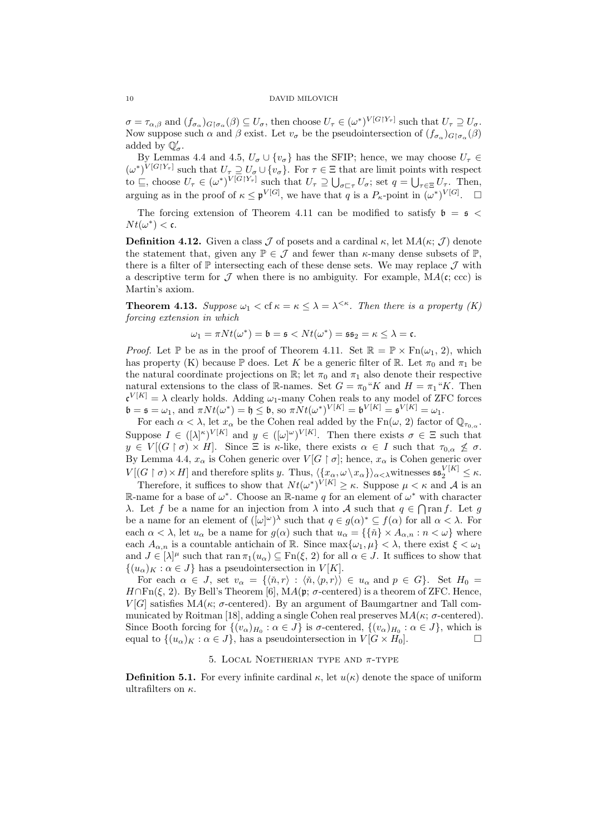$\sigma = \tau_{\alpha,\beta}$  and  $(f_{\sigma_\alpha})_{G \upharpoonright \sigma_\alpha}(\beta) \subseteq U_\sigma$ , then choose  $U_\tau \in (\omega^*)^{V[G \upharpoonright Y_\tau]}$  such that  $U_\tau \supseteq U_\sigma$ . Now suppose such  $\alpha$  and  $\beta$  exist. Let  $v_{\sigma}$  be the pseudointersection of  $(f_{\sigma_{\alpha}})_{G \upharpoonright \sigma_{\alpha}}(\beta)$ added by  $\mathbb{Q}'_{\sigma}$ .

By Lemmas 4.4 and 4.5,  $U_{\sigma} \cup \{v_{\sigma}\}\$  has the SFIP; hence, we may choose  $U_{\tau} \in$  $(\omega^*)^{V[G|Y_\tau]}$  such that  $U_\tau \supseteq U_\sigma \cup \{v_\sigma\}$ . For  $\tau \in \Xi$  that are limit points with respect to  $\subseteq$ , choose  $U_{\tau} \in (\omega^*)^{V[G|Y_{\tau}]}$  such that  $U_{\tau} \supseteq \bigcup_{\sigma \sqsubset \tau} U_{\sigma}$ ; set  $q = \bigcup_{\tau \in \Xi} U_{\tau}$ . Then, arguing as in the proof of  $\kappa \leq \mathfrak{p}^{V[G]}$ , we have that q is a  $P_{\kappa}$ -point in  $(\omega^*)^{V[G]}$ .  $\square$ 

The forcing extension of Theorem 4.11 can be modified to satisfy  $\mathfrak{b} = \mathfrak{s} <$  $Nt(\omega^*) < \mathfrak{c}.$ 

**Definition 4.12.** Given a class  $\mathcal J$  of posets and a cardinal  $\kappa$ , let  $MA(\kappa; \mathcal J)$  denote the statement that, given any  $\mathbb{P} \in \mathcal{J}$  and fewer than  $\kappa$ -many dense subsets of  $\mathbb{P}$ , there is a filter of  $\mathbb P$  intersecting each of these dense sets. We may replace  $\mathcal J$  with a descriptive term for  $\mathcal J$  when there is no ambiguity. For example,  $MA(c; ccc)$  is Martin's axiom.

**Theorem 4.13.** Suppose  $\omega_1 <$  cf  $\kappa = \kappa \leq \lambda = \lambda^{<\kappa}$ . Then there is a property (K) forcing extension in which

$$
\omega_1 = \pi N t(\omega^*) = \mathfrak{b} = \mathfrak{s} < N t(\omega^*) = \mathfrak{s} \mathfrak{s}_2 = \kappa \leq \lambda = \mathfrak{c}.
$$

*Proof.* Let P be as in the proof of Theorem 4.11. Set  $\mathbb{R} = \mathbb{P} \times \text{Fn}(\omega_1, 2)$ , which has property (K) because  $\mathbb P$  does. Let K be a generic filter of  $\mathbb R$ . Let  $\pi_0$  and  $\pi_1$  be the natural coordinate projections on  $\mathbb{R}$ ; let  $\pi_0$  and  $\pi_1$  also denote their respective natural extensions to the class of R-names. Set  $G = \pi_0$ "K and  $H = \pi_1$ "K. Then  $\mathfrak{c}^{V[K]} = \lambda$  clearly holds. Adding  $\omega_1$ -many Cohen reals to any model of ZFC forces  $\mathfrak{b} = \mathfrak{s} = \omega_1$ , and  $\pi N t(\omega^*) = \mathfrak{h} \leq \mathfrak{b}$ , so  $\pi N t(\omega^*)^{V[K]} = \mathfrak{b}^{V[K]} = \mathfrak{s}^{V[K]} = \omega_1$ .

For each  $\alpha < \lambda$ , let  $x_{\alpha}$  be the Cohen real added by the Fn( $\omega$ , 2) factor of  $\mathbb{Q}_{\tau_{0,\alpha}}$ . Suppose  $I \in ([\lambda]^{\kappa})^{V[K]}$  and  $y \in ([\omega]^{\omega})^{V[K]}$ . Then there exists  $\sigma \in \Xi$  such that  $y \in V[(G \restriction \sigma) \times H]$ . Since  $\Xi$  is  $\kappa$ -like, there exists  $\alpha \in I$  such that  $\tau_{0,\alpha} \nleq \sigma$ . By Lemma 4.4,  $x_{\alpha}$  is Cohen generic over  $V[G \restriction \sigma]$ ; hence,  $x_{\alpha}$  is Cohen generic over  $V[(G \restriction \sigma) \times H]$  and therefore splits y. Thus,  $\langle \{x_\alpha, \omega \setminus x_\alpha\} \rangle_{\alpha < \lambda}$  witnesses  $\mathfrak{ss}_2^{V[K]} \leq \kappa$ .

Therefore, it suffices to show that  $Nt(\omega^*)^{V[K]} \geq \kappa$ . Suppose  $\mu < \kappa$  and A is an R-name for a base of  $\omega^*$ . Choose an R-name q for an element of  $\omega^*$  with character λ. Let f be a name for an injection from  $\lambda$  into A such that  $q \in \bigcap \text{ran } f$ . Let g be a name for an element of  $([\omega]^\omega)^\lambda$  such that  $q \in g(\alpha)^* \subseteq f(\alpha)$  for all  $\alpha < \lambda$ . For each  $\alpha < \lambda$ , let  $u_{\alpha}$  be a name for  $g(\alpha)$  such that  $u_{\alpha} = {\{\tilde{n}\}\times A_{\alpha,n} : n < \omega\}$  where each  $A_{\alpha,n}$  is a countable antichain of R. Since  $\max{\{\omega_1,\mu\}} < \lambda$ , there exist  $\xi < \omega_1$ and  $J \in [\lambda]^{\mu}$  such that ran  $\pi_1(u_{\alpha}) \subseteq \text{Fn}(\xi, 2)$  for all  $\alpha \in J$ . It suffices to show that  $\{(u_{\alpha})_K : \alpha \in J\}$  has a pseudointersection in  $V[K]$ .

For each  $\alpha \in J$ , set  $v_{\alpha} = \{\langle \n\check{n}, r \rangle : \langle \check{n}, \langle p, r \rangle \rangle \in u_{\alpha} \text{ and } p \in G\}.$  Set  $H_0 =$  $H \cap \mathrm{Fn}(\xi, 2)$ . By Bell's Theorem [6],  $MA(\mathfrak{p}; \sigma\text{-centered})$  is a theorem of ZFC. Hence,  $V[G]$  satisfies  $MA(\kappa; \sigma\text{-centered})$ . By an argument of Baumgartner and Tall communicated by Roitman [18], adding a single Cohen real preserves  $MA(\kappa; \sigma\text{-centered})$ . Since Booth forcing for  $\{(v_\alpha)_{H_0} : \alpha \in J\}$  is  $\sigma$ -centered,  $\{(v_\alpha)_{H_0} : \alpha \in J\}$ , which is equal to  $\{(u_{\alpha})_K : \alpha \in J\}$ , has a pseudointersection in  $V[G \times H_0]$ .

#### 5. LOCAL NOETHERIAN TYPE AND  $\pi$ -TYPE

**Definition 5.1.** For every infinite cardinal  $\kappa$ , let  $u(\kappa)$  denote the space of uniform ultrafilters on  $\kappa$ .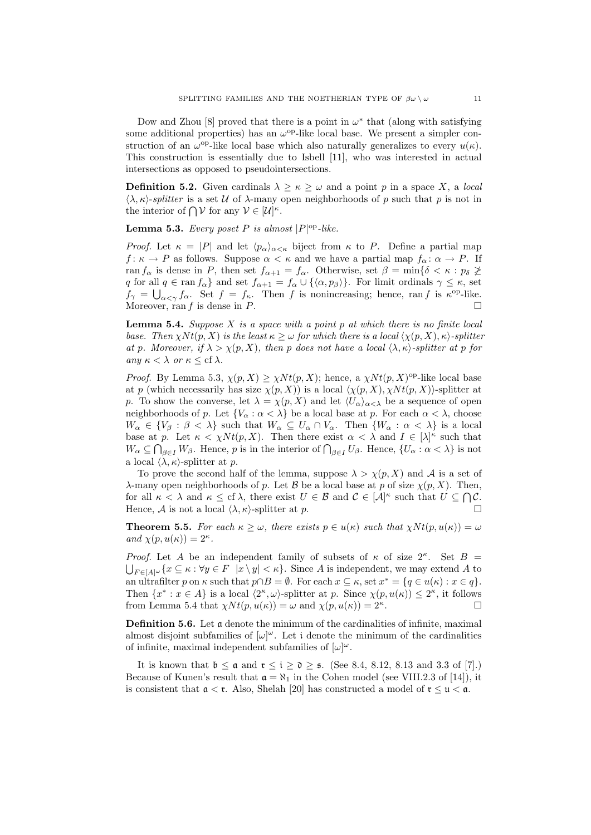Dow and Zhou [8] proved that there is a point in  $\omega^*$  that (along with satisfying some additional properties) has an  $\omega^{\rm op}$ -like local base. We present a simpler construction of an  $\omega^{\text{op}}$ -like local base which also naturally generalizes to every  $u(\kappa)$ . This construction is essentially due to Isbell [11], who was interested in actual intersections as opposed to pseudointersections.

**Definition 5.2.** Given cardinals  $\lambda \geq \kappa \geq \omega$  and a point p in a space X, a local  $\langle \lambda, \kappa \rangle$ -splitter is a set U of  $\lambda$ -many open neighborhoods of p such that p is not in the interior of  $\bigcap \mathcal{V}$  for any  $\mathcal{V} \in [\mathcal{U}]^{\kappa}$ .

**Lemma 5.3.** Every poset P is almost  $|P|^{op}$ -like.

*Proof.* Let  $\kappa = |P|$  and let  $\langle p_{\alpha} \rangle_{\alpha \leq \kappa}$  biject from  $\kappa$  to P. Define a partial map  $f: \kappa \to P$  as follows. Suppose  $\alpha < \kappa$  and we have a partial map  $f_{\alpha}: \alpha \to P$ . If ran  $f_{\alpha}$  is dense in P, then set  $f_{\alpha+1} = f_{\alpha}$ . Otherwise, set  $\beta = \min\{\delta < \kappa : p_{\delta} \geq \delta\}$ q for all  $q \in \text{ran } f_\alpha$  and set  $f_{\alpha+1} = f_\alpha \cup \{\langle \alpha, p_\beta \rangle\}$ . For limit ordinals  $\gamma \leq \kappa$ , set  $f_{\gamma} = \bigcup_{\alpha < \gamma} f_{\alpha}$ . Set  $f = f_{\kappa}$ . Then f is nonincreasing; hence, ran f is  $\kappa^{\rm op}$ -like. Moreover, ran  $f$  is dense in  $P$ .

**Lemma 5.4.** Suppose  $X$  is a space with a point  $p$  at which there is no finite local base. Then  $\chi N t(p, X)$  is the least  $\kappa > \omega$  for which there is a local  $\langle \chi(p, X), \kappa \rangle$ -splitter at p. Moreover, if  $\lambda > \chi(p, X)$ , then p does not have a local  $\langle \lambda, \kappa \rangle$ -splitter at p for any  $\kappa < \lambda$  or  $\kappa \leq cf \lambda$ .

*Proof.* By Lemma 5.3,  $\chi(p, X) \geq \chi N t(p, X)$ ; hence, a  $\chi N t(p, X)$ <sup>op</sup>-like local base at p (which necessarily has size  $\chi(p, X)$ ) is a local  $\langle \chi(p, X), \chi N t(p, X)\rangle$ -splitter at p. To show the converse, let  $\lambda = \chi(p, X)$  and let  $\langle U_{\alpha} \rangle_{\alpha < \lambda}$  be a sequence of open neighborhoods of p. Let  ${V_\alpha : \alpha < \lambda}$  be a local base at p. For each  $\alpha < \lambda$ , choose  $W_{\alpha} \in \{V_{\beta} : \beta < \lambda\}$  such that  $W_{\alpha} \subseteq U_{\alpha} \cap V_{\alpha}$ . Then  $\{W_{\alpha} : \alpha < \lambda\}$  is a local base at p. Let  $\kappa < \chi N t(p, X)$ . Then there exist  $\alpha < \lambda$  and  $I \in [\lambda]^{\kappa}$  such that  $W_{\alpha} \subseteq \bigcap_{\beta \in I} W_{\beta}$ . Hence, p is in the interior of  $\bigcap_{\beta \in I} U_{\beta}$ . Hence,  $\{U_{\alpha} : \alpha < \lambda\}$  is not a local  $\langle \lambda, \kappa \rangle$ -splitter at p.

To prove the second half of the lemma, suppose  $\lambda > \chi(p, X)$  and A is a set of λ-many open neighborhoods of p. Let B be a local base at p of size  $\chi(p, X)$ . Then, for all  $\kappa < \lambda$  and  $\kappa \leq cf \lambda$ , there exist  $U \in \mathcal{B}$  and  $\mathcal{C} \in [\mathcal{A}]^{\kappa}$  such that  $U \subseteq \bigcap \mathcal{C}$ . Hence,  $\mathcal A$  is not a local  $\langle \lambda, \kappa \rangle$ -splitter at p.

**Theorem 5.5.** For each  $\kappa \geq \omega$ , there exists  $p \in u(\kappa)$  such that  $\chi Nt(p, u(\kappa)) = \omega$ and  $\chi(p, u(\kappa)) = 2^{\kappa}$ .

Proof. Let A be an independent family of subsets of  $\kappa$  of size  $2^{\kappa}$ . Set  $B =$  $\bigcup_{F \in [A]^{\omega}} \{x \subseteq \kappa : \forall y \in F \mid x \setminus y \leq \kappa\}.$  Since A is independent, we may extend A to an ultrafilter p on  $\kappa$  such that  $p \cap B = \emptyset$ . For each  $x \subseteq \kappa$ , set  $x^* = \{q \in u(\kappa) : x \in q\}$ . Then  $\{x^*: x \in A\}$  is a local  $\langle 2^{\kappa}, \omega \rangle$ -splitter at p. Since  $\chi(p, u(\kappa)) \leq 2^{\kappa}$ , it follows from Lemma 5.4 that  $\chi N t(p, u(\kappa)) = \omega$  and  $\chi(p, u(\kappa)) = 2^{\kappa}$ . .

Definition 5.6. Let a denote the minimum of the cardinalities of infinite, maximal almost disjoint subfamilies of  $[\omega]^\omega$ . Let i denote the minimum of the cardinalities of infinite, maximal independent subfamilies of  $[\omega]^\omega$ .

It is known that  $\mathfrak{b} \leq \mathfrak{a}$  and  $\mathfrak{r} \leq \mathfrak{i} \geq \mathfrak{d} \geq \mathfrak{s}$ . (See 8.4, 8.12, 8.13 and 3.3 of [7].) Because of Kunen's result that  $\mathfrak{a} = \aleph_1$  in the Cohen model (see VIII.2.3 of [14]), it is consistent that  $a < r$ . Also, Shelah [20] has constructed a model of  $r \le u < a$ .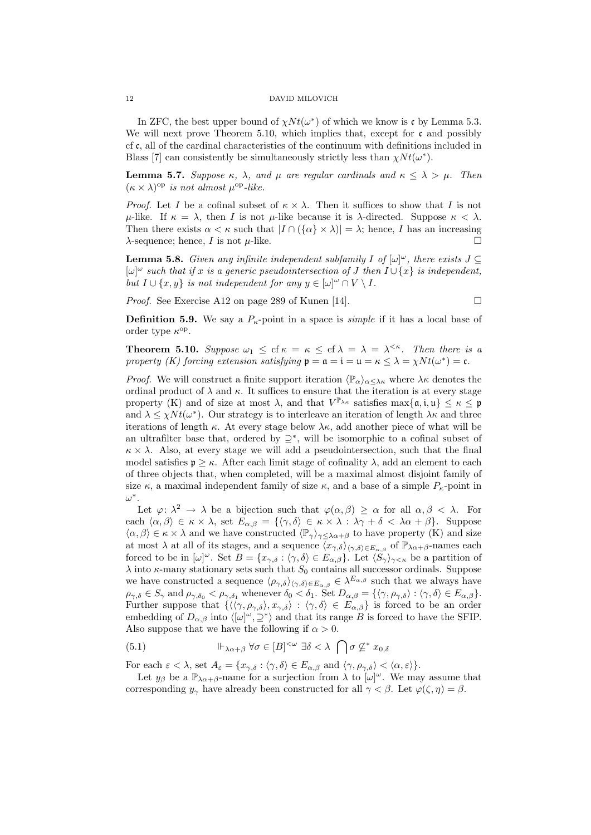In ZFC, the best upper bound of  $\chi N t(\omega^*)$  of which we know is c by Lemma 5.3. We will next prove Theorem 5.10, which implies that, except for  $\mathfrak c$  and possibly cf c, all of the cardinal characteristics of the continuum with definitions included in Blass [7] can consistently be simultaneously strictly less than  $\chi N t(\omega^*)$ .

**Lemma 5.7.** Suppose  $\kappa$ ,  $\lambda$ , and  $\mu$  are regular cardinals and  $\kappa \leq \lambda > \mu$ . Then  $(\kappa \times \lambda)$ <sup>op</sup> is not almost  $\mu$ <sup>op</sup>-like.

*Proof.* Let I be a cofinal subset of  $\kappa \times \lambda$ . Then it suffices to show that I is not u-like. If  $\kappa = \lambda$ , then I is not u-like because it is  $\lambda$ -directed. Suppose  $\kappa < \lambda$ . Then there exists  $\alpha < \kappa$  such that  $|I \cap (\{\alpha\} \times \lambda)| = \lambda$ ; hence, I has an increasing  $\lambda$ -sequence; hence, I is not  $\mu$ -like.

**Lemma 5.8.** Given any infinite independent subfamily I of  $[\omega]^\omega$ , there exists  $J \subseteq$  $[\omega]^\omega$  such that if x is a generic pseudointersection of J then  $I \cup \{x\}$  is independent, but  $I \cup \{x, y\}$  is not independent for any  $y \in [\omega]^\omega \cap V \setminus I$ .

Proof. See Exercise A12 on page 289 of Kunen [14].

$$
\Box
$$

**Definition 5.9.** We say a  $P_k$ -point in a space is *simple* if it has a local base of order type  $\kappa^{\rm op}$ .

**Theorem 5.10.** Suppose  $\omega_1 \leq cf \kappa = \kappa \leq cf \lambda = \lambda = \lambda^{<\kappa}$ . Then there is a property (K) forcing extension satisfying  $\mathfrak{p} = \mathfrak{a} = \mathfrak{i} = \mathfrak{u} = \kappa \leq \lambda = \chi N t(\omega^*) = \mathfrak{c}$ .

*Proof.* We will construct a finite support iteration  $\langle \mathbb{P}_{\alpha} \rangle_{\alpha \leq \lambda \kappa}$  where  $\lambda \kappa$  denotes the ordinal product of  $\lambda$  and  $\kappa$ . It suffices to ensure that the iteration is at every stage property (K) and of size at most  $\lambda$ , and that  $V^{\mathbb{P}_{\lambda\kappa}}$  satisfies  $\max\{\mathfrak{a},\mathfrak{i},\mathfrak{u}\}\leq\kappa\leq\mathfrak{p}$ and  $\lambda \leq \chi N t(\omega^*)$ . Our strategy is to interleave an iteration of length  $\lambda \kappa$  and three iterations of length  $\kappa$ . At every stage below  $\lambda \kappa$ , add another piece of what will be an ultrafilter base that, ordered by  $\supseteq^*$ , will be isomorphic to a cofinal subset of  $\kappa \times \lambda$ . Also, at every stage we will add a pseudointersection, such that the final model satisfies  $\mathfrak{p} > \kappa$ . After each limit stage of cofinality  $\lambda$ , add an element to each of three objects that, when completed, will be a maximal almost disjoint family of size  $\kappa$ , a maximal independent family of size  $\kappa$ , and a base of a simple  $P_{\kappa}$ -point in ω ∗ .

Let  $\varphi: \lambda^2 \to \lambda$  be a bijection such that  $\varphi(\alpha, \beta) \geq \alpha$  for all  $\alpha, \beta < \lambda$ . For each  $\langle \alpha, \beta \rangle \in \kappa \times \lambda$ , set  $E_{\alpha, \beta} = {\langle \gamma, \delta \rangle \in \kappa \times \lambda : \lambda \gamma + \delta < \lambda \alpha + \beta }$ . Suppose  $\langle \alpha, \beta \rangle \in \kappa \times \lambda$  and we have constructed  $\langle \mathbb{P}_{\gamma} \rangle_{\gamma \leq \lambda \alpha + \beta}$  to have property (K) and size at most  $\lambda$  at all of its stages, and a sequence  $\langle x_{\gamma,\delta}\rangle_{\langle\gamma,\delta\rangle\in E_{\alpha,\beta}}$  of  $\mathbb{P}_{\lambda\alpha+\beta}$ -names each forced to be in  $[\omega]^\omega$ . Set  $B = \{x_{\gamma,\delta} : \langle \gamma, \delta \rangle \in E_{\alpha,\beta}\}$ . Let  $\langle S_\gamma \rangle_{\gamma \leq \kappa}$  be a partition of  $\lambda$  into  $\kappa$ -many stationary sets such that  $S_0$  contains all successor ordinals. Suppose we have constructed a sequence  $\langle \rho_{\gamma,\delta} \rangle_{\langle \gamma,\delta \rangle \in E_{\alpha,\beta}} \in \lambda^{E_{\alpha,\beta}}$  such that we always have  $\rho_{\gamma,\delta} \in S_{\gamma}$  and  $\rho_{\gamma,\delta_0} < \rho_{\gamma,\delta_1}$  whenever  $\delta_0 < \delta_1$ . Set  $D_{\alpha,\beta} = {\langle \gamma, \rho_{\gamma,\delta} \rangle : \langle \gamma, \delta \rangle \in E_{\alpha,\beta}}$ . Further suppose that  $\{\langle\langle \gamma, \rho_{\gamma,\delta}\rangle, x_{\gamma,\delta}\rangle : \langle \gamma,\delta\rangle \in E_{\alpha,\beta}\}\$ is forced to be an order embedding of  $D_{\alpha,\beta}$  into  $\langle [\omega]^\omega, \supseteq^* \rangle$  and that its range B is forced to have the SFIP. Also suppose that we have the following if  $\alpha > 0$ .

(5.1) 
$$
\Vdash_{\lambda\alpha+\beta} \forall \sigma \in [B]^{<\omega} \exists \delta < \lambda \bigcap \sigma \not\subseteq^* x_{0,\delta}
$$

For each  $\varepsilon < \lambda$ , set  $A_{\varepsilon} = \{x_{\gamma,\delta} : \langle \gamma, \delta \rangle \in E_{\alpha,\beta} \text{ and } \langle \gamma, \rho_{\gamma,\delta} \rangle < \langle \alpha, \varepsilon \rangle \}.$ 

Let  $y_\beta$  be a  $\mathbb{P}_{\lambda\alpha+\beta}$ -name for a surjection from  $\lambda$  to  $[\omega]^\omega$ . We may assume that corresponding  $y_\gamma$  have already been constructed for all  $\gamma < \beta$ . Let  $\varphi(\zeta, \eta) = \beta$ .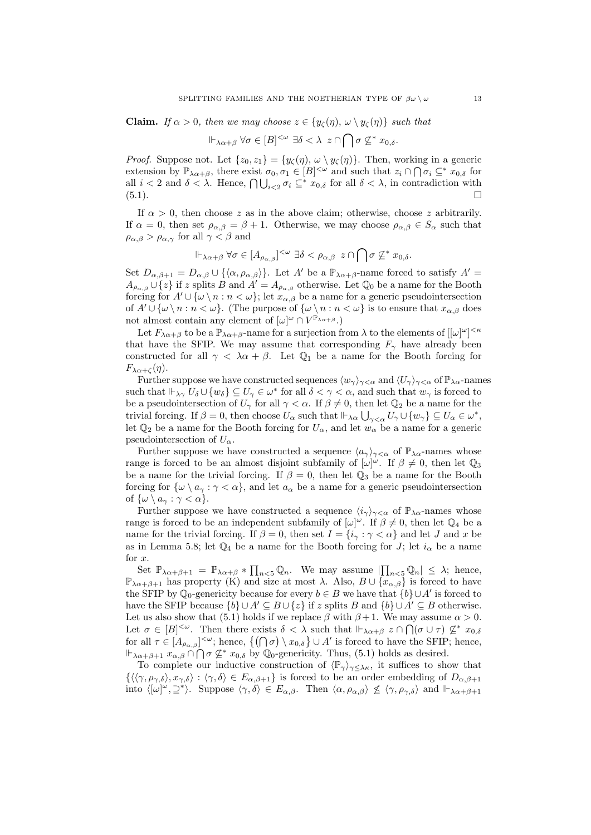**Claim.** If  $\alpha > 0$ , then we may choose  $z \in \{y_{\zeta}(\eta), \omega \setminus y_{\zeta}(\eta)\}\)$  such that

$$
\Vdash_{\lambda\alpha+\beta}\forall\sigma\in[B]^{<\omega}\;\exists\delta<\lambda\;z\cap\bigcap\sigma\not\subseteq^*x_{0,\delta}.
$$

*Proof.* Suppose not. Let  $\{z_0, z_1\} = \{y_{\zeta}(\eta), \omega \setminus y_{\zeta}(\eta)\}\.$  Then, working in a generic extension by  $\mathbb{P}_{\lambda\alpha+\beta}$ , there exist  $\sigma_0, \sigma_1 \in [B]^{<\omega}$  and such that  $z_i \cap \bigcap \sigma_i \subseteq^* x_{0,\delta}$  for all  $i < 2$  and  $\delta < \lambda$ . Hence,  $\bigcap \bigcup_{i < 2} \sigma_i \subseteq^* x_{0,\delta}$  for all  $\delta < \lambda$ , in contradiction with  $(5.1).$ 

If  $\alpha > 0$ , then choose z as in the above claim; otherwise, choose z arbitrarily. If  $\alpha = 0$ , then set  $\rho_{\alpha,\beta} = \beta + 1$ . Otherwise, we may choose  $\rho_{\alpha,\beta} \in S_\alpha$  such that  $\rho_{\alpha,\beta} > \rho_{\alpha,\gamma}$  for all  $\gamma < \beta$  and

$$
\Vdash_{\lambda\alpha+\beta}\forall\sigma\in[A_{\rho_{\alpha,\beta}}]^{<\omega}\;\exists\delta<\rho_{\alpha,\beta}\;z\cap\bigcap\sigma\not\subseteq^*x_{0,\delta}.
$$

Set  $D_{\alpha,\beta+1} = D_{\alpha,\beta} \cup \{\langle \alpha,\rho_{\alpha,\beta} \rangle\}$ . Let A' be a  $\mathbb{P}_{\lambda \alpha+\beta}$ -name forced to satisfy  $A' =$  $A_{\rho_{\alpha,\beta}} \cup \{z\}$  if z splits B and  $A' = A_{\rho_{\alpha,\beta}}$  otherwise. Let  $\mathbb{Q}_0$  be a name for the Booth forcing for  $A' \cup \{\omega \setminus n : n < \omega\}$ ; let  $x_{\alpha,\beta}$  be a name for a generic pseudointersection of  $A' \cup \{\omega \setminus n : n < \omega\}$ . (The purpose of  $\{\omega \setminus n : n < \omega\}$  is to ensure that  $x_{\alpha,\beta}$  does not almost contain any element of  $[\omega]^\omega \cap V^{\mathbb{P}_{\lambda\alpha+\beta}}$ .

Let  $F_{\lambda\alpha+\beta}$  to be a  $\mathbb{P}_{\lambda\alpha+\beta}$ -name for a surjection from  $\lambda$  to the elements of  $[[\omega]^{\omega}]^{<\kappa}$ that have the SFIP. We may assume that corresponding  $F_{\gamma}$  have already been constructed for all  $\gamma < \lambda \alpha + \beta$ . Let  $\mathbb{Q}_1$  be a name for the Booth forcing for  $F_{\lambda\alpha+\zeta}(\eta)$ .

Further suppose we have constructed sequences  $\langle w_{\gamma} \rangle_{\gamma < \alpha}$  and  $\langle U_{\gamma} \rangle_{\gamma < \alpha}$  of  $\mathbb{P}_{\lambda \alpha}$ -names such that  $\Vdash_{\lambda\gamma} U_{\delta} \cup \{w_{\delta}\} \subseteq U_{\gamma} \in \omega^*$  for all  $\delta < \gamma < \alpha$ , and such that  $w_{\gamma}$  is forced to be a pseudointersection of  $U_{\gamma}$  for all  $\gamma < \alpha$ . If  $\beta \neq 0$ , then let  $\mathbb{Q}_2$  be a name for the trivial forcing. If  $\beta = 0$ , then choose  $U_{\alpha}$  such that  $\vdash_{\lambda\alpha}\bigcup_{\gamma<\alpha}U_{\gamma}\cup\{w_{\gamma}\}\subseteq U_{\alpha}\in\omega^*$ , let  $\mathbb{Q}_2$  be a name for the Booth forcing for  $U_\alpha$ , and let  $w_\alpha$  be a name for a generic pseudointersection of  $U_{\alpha}$ .

Further suppose we have constructed a sequence  $\langle a_{\gamma} \rangle_{\gamma < \alpha}$  of  $\mathbb{P}_{\lambda \alpha}$ -names whose range is forced to be an almost disjoint subfamily of  $[\omega]^\omega$ . If  $\beta \neq 0$ , then let  $\mathbb{Q}_3$ be a name for the trivial forcing. If  $\beta = 0$ , then let  $\mathbb{Q}_3$  be a name for the Booth forcing for  $\{\omega \setminus a_{\gamma} : \gamma < \alpha\}$ , and let  $a_{\alpha}$  be a name for a generic pseudointersection of  $\{\omega \setminus a_{\gamma} : \gamma < \alpha\}.$ 

Further suppose we have constructed a sequence  $\langle i_{\gamma} \rangle_{\gamma < \alpha}$  of  $\mathbb{P}_{\lambda \alpha}$ -names whose range is forced to be an independent subfamily of  $[\omega]^\omega$ . If  $\beta \neq 0$ , then let  $\mathbb{Q}_4$  be a name for the trivial forcing. If  $\beta = 0$ , then set  $I = \{i_{\gamma} : \gamma < \alpha\}$  and let J and x be as in Lemma 5.8; let  $\mathbb{Q}_4$  be a name for the Booth forcing for J; let  $i_{\alpha}$  be a name for  $x$ .

Set  $\mathbb{P}_{\lambda\alpha+\beta+1} = \mathbb{P}_{\lambda\alpha+\beta} * \prod_{n<5} \mathbb{Q}_n$ . We may assume  $\left|\prod_{n<5} \mathbb{Q}_n\right| \leq \lambda$ ; hence,  $\mathbb{P}_{\lambda\alpha+\beta+1}$  has property (K) and size at most  $\lambda$ . Also,  $B\cup \{x_{\alpha,\beta}\}\$ is forced to have the SFIP by  $\mathbb{Q}_0$ -genericity because for every  $b \in B$  we have that  $\{b\} \cup A'$  is forced to have the SFIP because  $\{b\} \cup A' \subseteq B \cup \{z\}$  if z splits B and  $\{b\} \cup A' \subseteq B$  otherwise. Let us also show that (5.1) holds if we replace  $\beta$  with  $\beta + 1$ . We may assume  $\alpha > 0$ . Let  $\sigma \in [B]^{<\omega}$ . Then there exists  $\delta < \lambda$  such that  $\Vdash_{\lambda\alpha+\beta} z \cap \bigcap (\sigma \cup \tau) \nsubseteq^* x_{0,\delta}$ for all  $\tau \in [A_{\rho_{\alpha,\beta}}]^{<\omega}$ ; hence,  $\{(\bigcap \sigma) \setminus x_{0,\delta}\} \cup A'$  is forced to have the SFIP; hence,  $\Vdash_{\lambda\alpha+\beta+1} x_{\alpha,\beta} \cap \bigcap \sigma \nsubseteq^* x_{0,\delta}$  by  $\mathbb{Q}_0$ -genericity. Thus, (5.1) holds as desired.

To complete our inductive construction of  $\langle \mathbb{P}_{\gamma} \rangle_{\gamma \leq \lambda \kappa}$ , it suffices to show that  $\{\langle\langle\gamma,\rho_{\gamma,\delta}\rangle,x_{\gamma,\delta}\rangle:\langle\gamma,\delta\rangle\in E_{\alpha,\beta+1}\}\$ is forced to be an order embedding of  $D_{\alpha,\beta+1}$ into  $\langle [\omega]^\omega, \Sigma^* \rangle$ . Suppose  $\langle \gamma, \delta \rangle \in E_{\alpha,\beta}$ . Then  $\langle \alpha, \rho_{\alpha,\beta} \rangle \nleq \langle \gamma, \rho_{\gamma,\delta} \rangle$  and  $\Vdash_{\lambda \alpha+\beta+1}$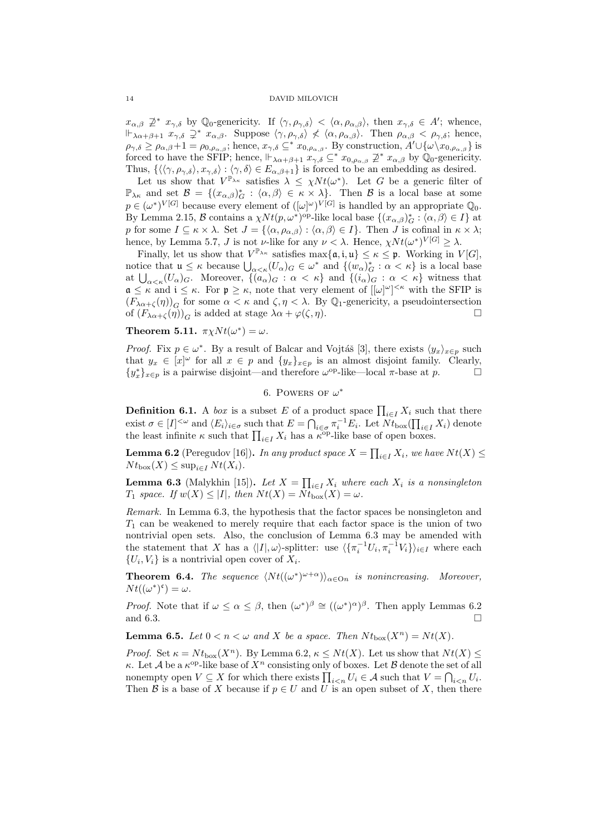$x_{\alpha,\beta} \not\supseteq^* x_{\gamma,\delta}$  by  $\mathbb{Q}_0$ -genericity. If  $\langle \gamma, \rho_{\gamma,\delta} \rangle < \langle \alpha, \rho_{\alpha,\beta} \rangle$ , then  $x_{\gamma,\delta} \in A'$ ; whence,  $\Vdash_{\lambda\alpha+\beta+1} x_{\gamma,\delta} \supseteq^* x_{\alpha,\beta}$ . Suppose  $\langle \gamma, \rho_{\gamma,\delta} \rangle \not\langle \langle \alpha, \rho_{\alpha,\beta} \rangle$ . Then  $\rho_{\alpha,\beta} < \rho_{\gamma,\delta}$ ; hence,  $\rho_{\gamma,\delta} \geq \rho_{\alpha,\beta}+1 = \rho_{0,\rho_{\alpha,\beta}}$ ; hence,  $x_{\gamma,\delta} \subseteq^* x_{0,\rho_{\alpha,\beta}}$ . By construction,  $A' \cup \{\omega \setminus x_{0,\rho_{\alpha,\beta}}\}$  is forced to have the SFIP; hence,  $\mathbb{I}_{\alpha\alpha+\beta+1}^{\gamma,\alpha} x_{\gamma,\delta} \subseteq^* x_{0,\rho_{\alpha,\beta}} \not\supseteq^* x_{\alpha,\beta}$  by  $\mathbb{Q}_0$ -genericity. Thus,  $\{\langle\langle \gamma, \rho_{\gamma,\delta}\rangle, x_{\gamma,\delta}\rangle : \langle \gamma,\delta\rangle \in E_{\alpha,\beta+1}\}\$ is forced to be an embedding as desired.

Let us show that  $V^{\mathbb{P}_{\lambda\kappa}}$  satisfies  $\lambda \leq \chi N t(\omega^*)$ . Let G be a generic filter of  $\mathbb{P}_{\lambda\kappa}$  and set  $\mathcal{B} = \{(x_{\alpha,\beta})^*_{\mathcal{G}} : \langle \alpha,\beta \rangle \in \kappa \times \lambda\}.$  Then  $\mathcal{B}$  is a local base at some  $p \in (\omega^*)^{V[G]}$  because every element of  $([\omega]^\omega)^{V[G]}$  is handled by an appropriate  $\mathbb{Q}_0$ . By Lemma 2.15,  $\mathcal{B}$  contains a  $\chi Nt(p,\omega^*)^{\text{op}}$ -like local base  $\{(x_{\alpha,\beta})_G^* : \langle \alpha, \beta \rangle \in I\}$  at p for some  $I \subseteq \kappa \times \lambda$ . Set  $J = {\langle \alpha, \rho_{\alpha, \beta} \rangle : \langle \alpha, \beta \rangle \in I}$ . Then J is cofinal in  $\kappa \times \lambda$ ; hence, by Lemma 5.7, *J* is not *ν*-like for any  $\nu < \lambda$ . Hence,  $\chi N t(\omega^*)^{V[G]} \geq \lambda$ .

Finally, let us show that  $V^{\mathbb{P}_{\lambda\kappa}}$  satisfies  $\max\{\mathfrak{a},\mathfrak{i},\mathfrak{u}\}\leq \kappa\leq \mathfrak{p}$ . Working in  $V[G]$ , notice that  $\mathfrak{u} \leq \kappa$  because  $\bigcup_{\alpha < \kappa} (U_\alpha)_{G} \in \omega^*$  and  $\{(w_\alpha)^*_{G} : \alpha < \kappa\}$  is a local base at  $\bigcup_{\alpha<\kappa}(U_{\alpha})_G$ . Moreover,  $\{(a_{\alpha})_G : \alpha < \kappa\}$  and  $\{(i_{\alpha})_G : \alpha < \kappa\}$  witness that  $\mathfrak{a} \leq \kappa$  and  $\mathfrak{i} \leq \kappa$ . For  $\mathfrak{p} \geq \kappa$ , note that very element of  $[[\omega]^{\omega}]^{\leq \kappa}$  with the SFIP is  $(F_{\lambda\alpha+\zeta}(\eta))_{\mathcal{G}}$  for some  $\alpha<\kappa$  and  $\zeta,\eta<\lambda$ . By  $\mathbb{Q}_1$ -genericity, a pseudointersection of  $(F_{\lambda\alpha+\zeta}(\eta))_G$  is added at stage  $\lambda\alpha+\varphi(\zeta,\eta)$ .

**Theorem 5.11.**  $\pi \chi N t(\omega^*) = \omega$ .

*Proof.* Fix  $p \in \omega^*$ . By a result of Balcar and Vojtáš [3], there exists  $\langle y_x \rangle_{x \in p}$  such that  $y_x \in [x]^\omega$  for all  $x \in p$  and  $\{y_x\}_{x \in p}$  is an almost disjoint family. Clearly,  ${y_x^*}_{x \in p}$  is a pairwise disjoint—and therefore ω<sup>op</sup>-like—local π-base at p. □

6. POWERS OF  $\omega^*$ 

**Definition 6.1.** A *box* is a subset E of a product space  $\prod_{i \in I} X_i$  such that there exist  $\sigma \in [I]^{<\omega}$  and  $\langle E_i \rangle_{i \in \sigma}$  such that  $E = \bigcap_{i \in \sigma} \pi_i^{-1} E_i$ . Let  $Nt_{\text{box}}(\prod_{i \in I} X_i)$  denote the least infinite  $\kappa$  such that  $\prod_{i\in I} X_i$  has a  $\kappa^{\text{op}}$ -like base of open boxes.

**Lemma 6.2** (Peregudov [16]). In any product space  $X = \prod_{i \in I} X_i$ , we have  $N t(X) \leq$  $N t_{\text{box}}(X) \leq \sup_{i \in I} N t(X_i).$ 

**Lemma 6.3** (Malykhin [15]). Let  $X = \prod_{i \in I} X_i$  where each  $X_i$  is a nonsingleton  $T_1$  space. If  $w(X) \leq |I|$ , then  $Nt(X) = Nt_{\text{box}}(X) = \omega$ .

Remark. In Lemma 6.3, the hypothesis that the factor spaces be nonsingleton and  $T_1$  can be weakened to merely require that each factor space is the union of two nontrivial open sets. Also, the conclusion of Lemma 6.3 may be amended with the statement that X has a  $\langle |I|, \omega \rangle$ -splitter: use  $\langle {\{\pi_i^{-1}U_i, \pi_i^{-1}V_i\}\rangle_{i \in I}}$  where each  $\{U_i, V_i\}$  is a nontrivial open cover of  $X_i$ .

**Theorem 6.4.** The sequence  $\langle Nt((\omega^*)^{\omega+\alpha})\rangle_{\alpha\in\text{On}}$  is nonincreasing. Moreover,  $Nt((\omega^*)^{\mathfrak{c}})=\omega.$ 

*Proof.* Note that if  $\omega \leq \alpha \leq \beta$ , then  $(\omega^*)^{\beta} \cong ((\omega^*)^{\alpha})^{\beta}$ . Then apply Lemmas 6.2 and 6.3.  $\Box$ 

**Lemma 6.5.** Let  $0 < n < \omega$  and X be a space. Then  $Nt_{\text{box}}(X^n) = Nt(X)$ .

*Proof.* Set  $\kappa = N t_{\text{box}}(X^n)$ . By Lemma 6.2,  $\kappa \leq N t(X)$ . Let us show that  $N t(X) \leq$ κ. Let A be a  $\kappa^{\rm op}$ -like base of  $X^n$  consisting only of boxes. Let B denote the set of all nonempty open  $V \subseteq X$  for which there exists  $\prod_{i \leq n} U_i \in A$  such that  $V = \bigcap_{i \leq n} U_i$ . Then B is a base of X because if  $p \in U$  and U is an open subset of X, then there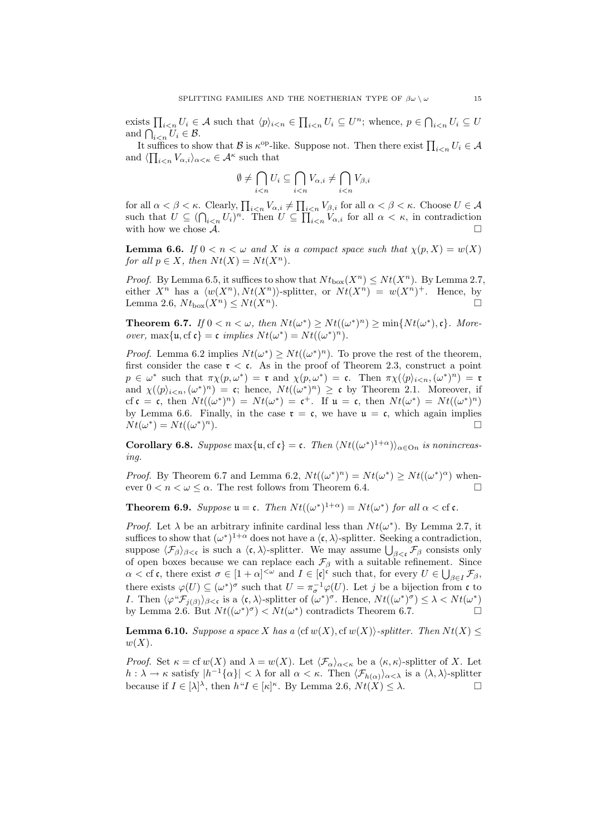exists  $\prod_{i\leq n}U_i\in \mathcal{A}$  such that  $\langle p\rangle_{i\leq n}\in \prod_{i\leq n}U_i\subseteq U^n$ ; whence,  $p\in \bigcap_{i\leq n}U_i\subseteq U$ and  $\bigcap_{i.$ 

It suffices to show that B is  $\kappa^{\text{op}}$ -like. Suppose not. Then there exist  $\prod_{i\leq n}U_i\in\mathcal{A}$ and  $\langle \prod_{i \leq n} V_{\alpha,i} \rangle_{\alpha \leq \kappa} \in \mathcal{A}^{\kappa}$  such that

$$
\emptyset \neq \bigcap_{i < n} U_i \subseteq \bigcap_{i < n} V_{\alpha,i} \neq \bigcap_{i < n} V_{\beta,i}
$$

for all  $\alpha < \beta < \kappa$ . Clearly,  $\prod_{i \leq n} V_{\alpha,i} \neq \prod_{i \leq n} V_{\beta,i}$  for all  $\alpha < \beta < \kappa$ . Choose  $U \in \mathcal{A}$ such that  $U \subseteq (\bigcap_{i \leq n} U_i)^n$ . Then  $U \subseteq \prod_{i \leq n} V_{\alpha,i}$  for all  $\alpha < \kappa$ , in contradiction with how we chose  $\mathcal{A}$ .

**Lemma 6.6.** If  $0 < n < \omega$  and X is a compact space such that  $\chi(p, X) = w(X)$ for all  $p \in X$ , then  $N t(X) = N t(X^n)$ .

*Proof.* By Lemma 6.5, it suffices to show that  $N t_{\text{box}}(X^n) \leq N t(X^n)$ . By Lemma 2.7, either  $X^n$  has a  $\langle w(X^n), N t(X^n) \rangle$ -splitter, or  $N t(X^n) = w(X^n)^+$ . Hence, by Lemma 2.6,  $N t_{\text{box}}(X^n) \leq N t(X^n)$ .

**Theorem 6.7.** If  $0 < n < \omega$ , then  $Nt(\omega^*) \geq Nt((\omega^*)^n) \geq \min\{Nt(\omega^*), \mathfrak{c}\}\)$ . Moreover, max $\{u, cf \mathfrak{c}\} = \mathfrak{c}$  implies  $Nt(\omega^*) = Nt((\omega^*)^n)$ .

*Proof.* Lemma 6.2 implies  $Nt(\omega^*) \geq Nt((\omega^*)^n)$ . To prove the rest of the theorem, first consider the case  $\tau < \mathfrak{c}$ . As in the proof of Theorem 2.3, construct a point  $p \in \omega^*$  such that  $\pi \chi(p, \omega^*) = \mathfrak{r}$  and  $\chi(p, \omega^*) = \mathfrak{c}$ . Then  $\pi \chi(\langle p \rangle_{i \leq n}, (\omega^*)^n) = \mathfrak{r}$ and  $\chi(\langle p \rangle_{i \leq n}, (\omega^*)^n) = \mathfrak{c}$ ; hence,  $N t((\omega^*)^n) \geq \mathfrak{c}$  by Theorem 2.1. Moreover, if cf  $\mathfrak{c} = \mathfrak{c}$ , then  $Nt((\omega^*)^n) = Nt(\omega^*) = \mathfrak{c}^+$ . If  $\mathfrak{u} = \mathfrak{c}$ , then  $Nt(\omega^*) = Nt((\omega^*)^n)$ by Lemma 6.6. Finally, in the case  $\mathfrak{r} = \mathfrak{c}$ , we have  $\mathfrak{u} = \mathfrak{c}$ , which again implies  $Nt(\omega^*)=Nt((\omega^*)$  $\Box$ 

**Corollary 6.8.** Suppose max $\{u, cf \in \mathfrak{c}\} = \mathfrak{c}$ . Then  $\langle Nt((\omega^*)^{1+\alpha})\rangle_{\alpha \in \mathcal{O}_n}$  is nonincreasing.

*Proof.* By Theorem 6.7 and Lemma 6.2,  $Nt((\omega^*)^n) = Nt(\omega^*) \geq Nt((\omega^*)^{\alpha})$  whenever  $0 < n < \omega \leq \alpha$ . The rest follows from Theorem 6.4.

**Theorem 6.9.** Suppose  $\mathfrak{u} = \mathfrak{c}$ . Then  $Nt((\omega^*)^{1+\alpha}) = Nt(\omega^*)$  for all  $\alpha < \text{cf } \mathfrak{c}$ .

*Proof.* Let  $\lambda$  be an arbitrary infinite cardinal less than  $Nt(\omega^*)$ . By Lemma 2.7, it suffices to show that  $(\omega^*)^{1+\alpha}$  does not have a  $\langle \mathfrak{c}, \lambda \rangle$ -splitter. Seeking a contradiction, suppose  $\langle \mathcal{F}_{\beta} \rangle_{\beta < \mathfrak{c}}$  is such a  $\langle \mathfrak{c}, \lambda \rangle$ -splitter. We may assume  $\bigcup_{\beta < \mathfrak{c}} \mathcal{F}_{\beta}$  consists only of open boxes because we can replace each  $\mathcal{F}_{\beta}$  with a suitable refinement. Since  $\alpha < \text{cf } \mathfrak{c}, \text{ there exist } \sigma \in [1+\alpha]^{<\omega} \text{ and } I \in [\mathfrak{c}]^{\mathfrak{c}} \text{ such that, for every } U \in \bigcup_{\beta \in I} \mathcal{F}_{\beta},$ there exists  $\varphi(U) \subseteq (\omega^*)^{\sigma}$  such that  $U = \pi_{\sigma}^{-1} \varphi(U)$ . Let j be a bijection from c to *I*. Then  $\langle \varphi^* \mathcal{F}_{j(\beta)} \rangle_{\beta < \mathfrak{c}}$  is a  $\langle \mathfrak{c}, \lambda \rangle$ -splitter of  $(\omega^*)^{\sigma}$ . Hence,  $N t((\omega^*)^{\sigma}) \leq \lambda < N t(\omega^*)$ by Lemma 2.6. But  $Nt((\omega^*)^{\sigma}) < Nt(\omega^*)$  contradicts Theorem 6.7.

**Lemma 6.10.** Suppose a space X has a  $\langle \text{cf } w(X), \text{cf } w(X) \rangle$ -splitter. Then  $N t(X) \leq$  $w(X)$ .

*Proof.* Set  $\kappa =$  cf  $w(X)$  and  $\lambda = w(X)$ . Let  $\langle \mathcal{F}_{\alpha} \rangle_{\alpha < \kappa}$  be a  $\langle \kappa, \kappa \rangle$ -splitter of X. Let  $h: \lambda \to \kappa$  satisfy  $|h^{-1}{\{\alpha\}}| < \lambda$  for all  $\alpha < \kappa$ . Then  $\langle \mathcal{F}_{h(\alpha)} \rangle_{\alpha < \lambda}$  is a  $\langle \lambda, \lambda \rangle$ -splitter because if  $I \in [\lambda]^{\lambda}$ , then  $h^{\mu}I \in [\kappa]^{\kappa}$ . By Lemma 2.6,  $Nt(X) \leq \lambda$ .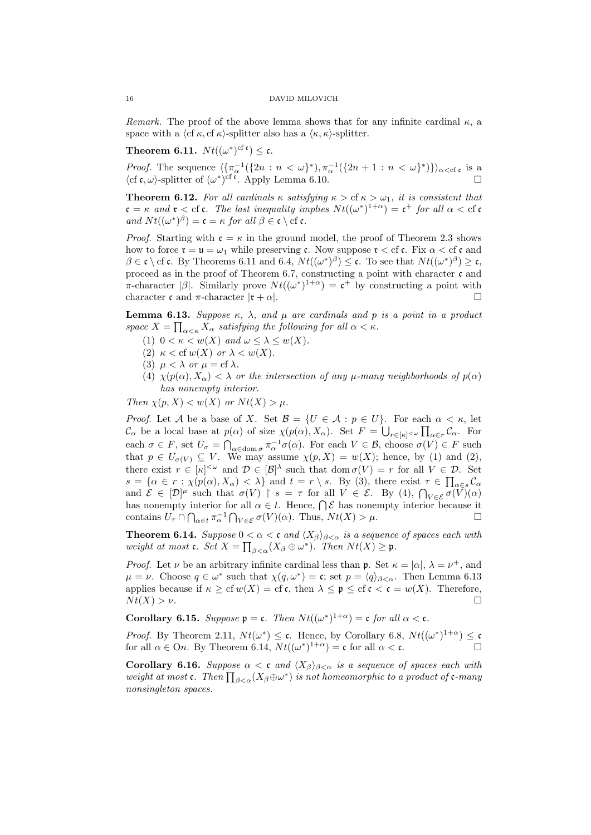Remark. The proof of the above lemma shows that for any infinite cardinal  $\kappa$ , a space with a  $\langle cf \kappa, cf \kappa \rangle$ -splitter also has a  $\langle \kappa, \kappa \rangle$ -splitter.

**Theorem 6.11.**  $Nt((\omega^*)^{\text{cf c}}) \leq \mathfrak{c}.$ 

*Proof.* The sequence  $\langle {\pi_{\alpha}^{-1}(\{2n : n < \omega\}^*), \pi_{\alpha}^{-1}(\{2n+1 : n < \omega\}^*)}\rangle_{\alpha < c}$  is a  $\langle cf \mathfrak{c}, \omega \rangle$ -splitter of  $(\omega^*)^{\dot{c}f}$ . Apply Lemma 6.10.

**Theorem 6.12.** For all cardinals  $\kappa$  satisfying  $\kappa > c f \kappa > \omega_1$ , it is consistent that  $\mathfrak{c} = \kappa$  and  $\mathfrak{r} <$  cf  $\mathfrak{c}$ . The last inequality implies  $Nt((\omega^*)^{1+\alpha}) = \mathfrak{c}^+$  for all  $\alpha <$  cf  $\mathfrak{c}$ and  $Nt((\omega^*)^{\beta}) = \mathfrak{c} = \kappa$  for all  $\beta \in \mathfrak{c} \setminus \text{cf } \mathfrak{c}$ .

*Proof.* Starting with  $\mathfrak{c} = \kappa$  in the ground model, the proof of Theorem 2.3 shows how to force  $\mathfrak{r} = \mathfrak{u} = \omega_1$  while preserving c. Now suppose  $\mathfrak{r} < \text{cf}$  c. Fix  $\alpha < \text{cf}$  c and  $\beta \in \mathfrak{c} \setminus \text{cf } \mathfrak{c}$ . By Theorems 6.11 and 6.4,  $Nt((\omega^*)^{\beta}) \leq \mathfrak{c}$ . To see that  $Nt((\omega^*)^{\beta}) \geq \mathfrak{c}$ , proceed as in the proof of Theorem 6.7, constructing a point with character  $\mathfrak c$  and  $\pi$ -character  $|\beta|$ . Similarly prove  $Nt((\omega^*)^{1+\alpha}) = \mathfrak{c}^+$  by constructing a point with character c and  $\pi$ -character  $|\mathbf{r} + \alpha|$ .

**Lemma 6.13.** Suppose  $\kappa$ ,  $\lambda$ , and  $\mu$  are cardinals and p is a point in a product space  $X = \prod_{\alpha<\kappa} X_{\alpha}$  satisfying the following for all  $\alpha<\kappa$ .

- (1)  $0 < \kappa < w(X)$  and  $\omega \leq \lambda \leq w(X)$ .
- (2)  $\kappa <$  cf  $w(X)$  or  $\lambda < w(X)$ .
- (3)  $\mu < \lambda$  or  $\mu = \text{cf } \lambda$ .
- (4)  $\chi(p(\alpha), X_{\alpha}) < \lambda$  or the intersection of any  $\mu$ -many neighborhoods of  $p(\alpha)$ has nonempty interior.

Then  $\chi(p, X) < w(X)$  or  $Nt(X) > \mu$ .

*Proof.* Let A be a base of X. Set  $\mathcal{B} = \{U \in \mathcal{A} : p \in U\}$ . For each  $\alpha < \kappa$ , let  $\mathcal{C}_{\alpha}$  be a local base at  $p(\alpha)$  of size  $\chi(p(\alpha), X_{\alpha})$ . Set  $F = \bigcup_{r \in [\kappa]^{<\omega}} \prod_{\alpha \in r} \mathcal{C}_{\alpha}$ . For each  $\sigma \in F$ , set  $U_{\sigma} = \bigcap_{\alpha \in \text{dom }\sigma} \pi_{\alpha}^{-1} \sigma(\alpha)$ . For each  $V \in \mathcal{B}$ , choose  $\sigma(V) \in F$  such that  $p \in U_{\sigma(V)} \subseteq V$ . We may assume  $\chi(p, X) = w(X)$ ; hence, by (1) and (2), there exist  $r \in [\kappa]^{<\omega}$  and  $\mathcal{D} \in [\mathcal{B}]^{\lambda}$  such that  $\text{dom }\sigma(V) = r$  for all  $V \in \mathcal{D}$ . Set  $s = \{ \alpha \in r : \chi(p(\alpha), X_{\alpha}) < \lambda \}$  and  $t = r \setminus s$ . By (3), there exist  $\tau \in \prod_{\alpha \in s} C_{\alpha}$ and  $\mathcal{E} \in [\mathcal{D}]^{\mu}$  such that  $\sigma(V) \restriction s = \tau$  for all  $V \in \mathcal{E}$ . By (4),  $\bigcap_{V \in \mathcal{E}} \widetilde{\sigma(V)}(\alpha)$ has nonempty interior for all  $\alpha \in t$ . Hence,  $\bigcap \mathcal{E}$  has nonempty interior because it contains  $U_{\tau} \cap \bigcap_{\alpha \in t} \pi_{\alpha}^{-1} \bigcap_{V \in \mathcal{E}} \sigma(V)(\alpha)$ . Thus,  $Nt(X) > \mu$ .

**Theorem 6.14.** Suppose  $0 < \alpha < c$  and  $\langle X_{\beta} \rangle_{\beta < \alpha}$  is a sequence of spaces each with weight at most **c**. Set  $X = \prod_{\beta < \alpha} (X_{\beta} \oplus \omega^*)$ . Then  $Nt(X) \ge \mathfrak{p}$ .

*Proof.* Let  $\nu$  be an arbitrary infinite cardinal less than **p**. Set  $\kappa = |\alpha|, \lambda = \nu^+,$  and  $\mu = \nu$ . Choose  $q \in \omega^*$  such that  $\chi(q, \omega^*) = \mathfrak{c}$ ; set  $p = \langle q \rangle_{\beta < \alpha}$ . Then Lemma 6.13 applies because if  $\kappa \geq cf w(X) = cf c$ , then  $\lambda \leq \mathfrak{p} \leq cf c < c = w(X)$ . Therefore,  $N t(X) > \nu.$ 

**Corollary 6.15.** Suppose  $\mathfrak{p} = \mathfrak{c}$ . Then  $Nt((\omega^*)^{1+\alpha}) = \mathfrak{c}$  for all  $\alpha < \mathfrak{c}$ .

*Proof.* By Theorem 2.11,  $Nt(\omega^*) \leq \mathfrak{c}$ . Hence, by Corollary 6.8,  $Nt((\omega^*)^{1+\alpha}) \leq \mathfrak{c}$ for all  $\alpha \in On$ . By Theorem 6.14,  $Nt((\omega^*)^{1+\alpha}) = \mathfrak{c}$  for all  $\alpha < \mathfrak{c}$ .

Corollary 6.16. Suppose  $\alpha < \mathfrak{c}$  and  $\langle X_{\beta} \rangle_{\beta < \alpha}$  is a sequence of spaces each with weight at most c. Then  $\prod_{\beta<\alpha} (X_{\beta} \oplus \omega^*)$  is not homeomorphic to a product of c-many nonsingleton spaces.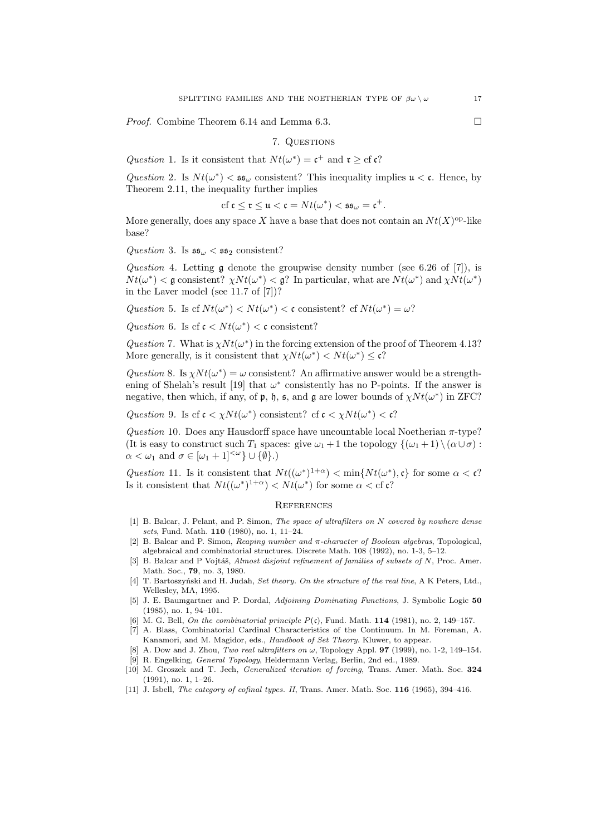*Proof.* Combine Theorem 6.14 and Lemma 6.3. □

7. QUESTIONS

Question 1. Is it consistent that  $Nt(\omega^*) = \mathfrak{c}^+$  and  $\mathfrak{r} \geq \text{cf } \mathfrak{c}$ ?

Question 2. Is  $Nt(\omega^*) < \mathfrak{ss}_{\omega}$  consistent? This inequality implies  $\mathfrak{u} < \mathfrak{c}$ . Hence, by Theorem 2.11, the inequality further implies

$$
\mathrm{cf}\ \mathfrak{c}\leq\mathfrak{r}\leq\mathfrak{u}<\mathfrak{c}=Nt(\omega^*)<\mathfrak{ss}_\omega=\mathfrak{c}^+.
$$

More generally, does any space X have a base that does not contain an  $Nt(X)$ <sup>op</sup>-like base?

Question 3. Is  $\mathfrak{ss}_{\omega} < \mathfrak{ss}_2$  consistent?

Question 4. Letting  $\mathfrak g$  denote the groupwise density number (see 6.26 of [7]), is  $Nt(\omega^*) < \mathfrak{g}$  consistent?  $\chi Nt(\omega^*) < \mathfrak{g}$ ? In particular, what are  $Nt(\omega^*)$  and  $\chi Nt(\omega^*)$ in the Laver model (see 11.7 of [7])?

Question 5. Is cf  $Nt(\omega^*) < Nt(\omega^*) < \mathfrak{c}$  consistent? cf  $Nt(\omega^*) = \omega$ ?

Question 6. Is cf  $\mathfrak{c} < N t(\omega^*) < \mathfrak{c}$  consistent?

Question 7. What is  $\chi N t(\omega^*)$  in the forcing extension of the proof of Theorem 4.13? More generally, is it consistent that  $\chi N t(\omega^*) < N t(\omega^*) \leq \mathfrak{c}$ ?

Question 8. Is  $\chi Nt(\omega^*) = \omega$  consistent? An affirmative answer would be a strengthening of Shelah's result [19] that  $\omega^*$  consistently has no P-points. If the answer is negative, then which, if any, of  $\mathfrak{p}$ ,  $\mathfrak{h}$ ,  $\mathfrak{s}$ , and  $\mathfrak{g}$  are lower bounds of  $\chi N t(\omega^*)$  in ZFC?

Question 9. Is cf  $\mathfrak{c} < \chi N t(\omega^*)$  consistent? cf  $\mathfrak{c} < \chi N t(\omega^*) < \mathfrak{c}$ ?

Question 10. Does any Hausdorff space have uncountable local Noetherian  $\pi$ -type? (It is easy to construct such  $T_1$  spaces: give  $\omega_1 + 1$  the topology  $\{(\omega_1 + 1) \setminus (\alpha \cup \sigma) :$  $\alpha < \omega_1$  and  $\sigma \in [\omega_1 + 1]^{<\omega} \cup \{\emptyset\}.$ 

Question 11. Is it consistent that  $Nt((\omega^*)^{1+\alpha}) < \min\{Nt(\omega^*), \mathfrak{c}\}\)$  for some  $\alpha < \mathfrak{c}$ ? Is it consistent that  $Nt((\omega^*)^{1+\alpha}) < Nt(\omega^*)$  for some  $\alpha < \text{cf } c$ ?

## **REFERENCES**

- [1] B. Balcar, J. Pelant, and P. Simon, The space of ultrafilters on N covered by nowhere dense sets, Fund. Math. 110 (1980), no. 1, 11–24.
- [2] B. Balcar and P. Simon, Reaping number and π-character of Boolean algebras, Topological, algebraical and combinatorial structures. Discrete Math. 108 (1992), no. 1-3, 5–12.
- [3] B. Balcar and P Vojtáš, Almost disjoint refinement of families of subsets of  $N$ , Proc. Amer. Math. Soc., 79, no. 3, 1980.
- [4] T. Bartoszyński and H. Judah, Set theory. On the structure of the real line, A K Peters, Ltd., Wellesley, MA, 1995.
- [5] J. E. Baumgartner and P. Dordal, Adjoining Dominating Functions, J. Symbolic Logic 50 (1985), no. 1, 94–101.
- [6] M. G. Bell, On the combinatorial principle  $P(c)$ , Fund. Math. 114 (1981), no. 2, 149–157.
- [7] A. Blass, Combinatorial Cardinal Characteristics of the Continuum. In M. Foreman, A. Kanamori, and M. Magidor, eds., Handbook of Set Theory. Kluwer, to appear.
- [8] A. Dow and J. Zhou, Two real ultrafilters on  $\omega$ , Topology Appl. **97** (1999), no. 1-2, 149–154. [9] R. Engelking, General Topology, Heldermann Verlag, Berlin, 2nd ed., 1989.
- [10] M. Groszek and T. Jech, *Generalized iteration of forcing*, Trans. Amer. Math. Soc. 324 (1991), no. 1, 1–26.
- [11] J. Isbell, *The category of cofinal types. II*, Trans. Amer. Math. Soc. **116** (1965), 394-416.